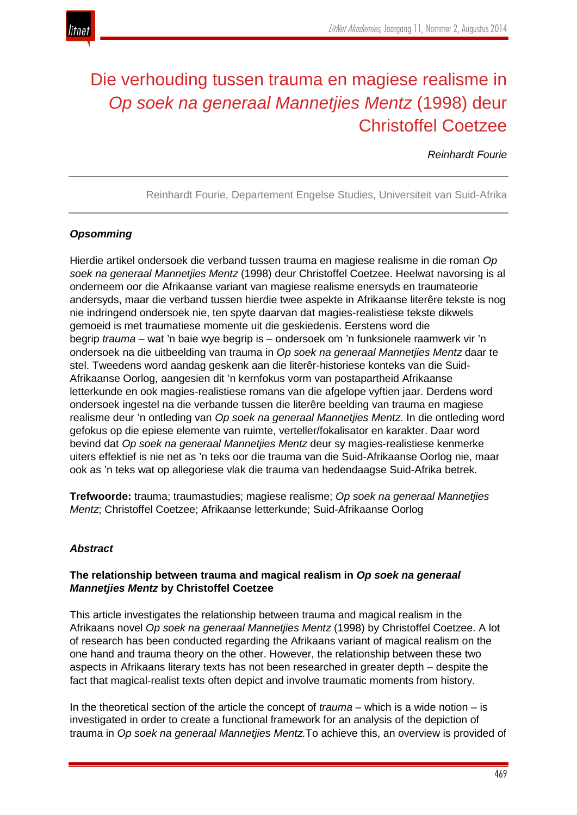

# Die verhouding tussen trauma en magiese realisme in *Op soek na generaal Mannetjies Mentz* (1998) deur Christoffel Coetzee

*Reinhardt Fourie*

Reinhardt Fourie, Departement Engelse Studies, Universiteit van Suid-Afrika

# *Opsomming*

Hierdie artikel ondersoek die verband tussen trauma en magiese realisme in die roman *Op soek na generaal Mannetjies Mentz* (1998) deur Christoffel Coetzee. Heelwat navorsing is al onderneem oor die Afrikaanse variant van magiese realisme enersyds en traumateorie andersyds, maar die verband tussen hierdie twee aspekte in Afrikaanse literêre tekste is nog nie indringend ondersoek nie, ten spyte daarvan dat magies-realistiese tekste dikwels gemoeid is met traumatiese momente uit die geskiedenis. Eerstens word die begrip *trauma* – wat 'n baie wye begrip is – ondersoek om 'n funksionele raamwerk vir 'n ondersoek na die uitbeelding van trauma in *Op soek na generaal Mannetjies Mentz* daar te stel. Tweedens word aandag geskenk aan die literêr-historiese konteks van die Suid-Afrikaanse Oorlog, aangesien dit 'n kernfokus vorm van postapartheid Afrikaanse letterkunde en ook magies-realistiese romans van die afgelope vyftien jaar. Derdens word ondersoek ingestel na die verbande tussen die literêre beelding van trauma en magiese realisme deur 'n ontleding van *Op soek na generaal Mannetjies Mentz*. In die ontleding word gefokus op die epiese elemente van ruimte, verteller/fokalisator en karakter. Daar word bevind dat *Op soek na generaal Mannetjies Mentz* deur sy magies-realistiese kenmerke uiters effektief is nie net as 'n teks oor die trauma van die Suid-Afrikaanse Oorlog nie, maar ook as 'n teks wat op allegoriese vlak die trauma van hedendaagse Suid-Afrika betrek.

**Trefwoorde:** trauma; traumastudies; magiese realisme; *Op soek na generaal Mannetjies Mentz*; Christoffel Coetzee; Afrikaanse letterkunde; Suid-Afrikaanse Oorlog

## *Abstract*

## **The relationship between trauma and magical realism in** *Op soek na generaal Mannetjies Mentz* **by Christoffel Coetzee**

This article investigates the relationship between trauma and magical realism in the Afrikaans novel *Op soek na generaal Mannetjies Mentz* (1998) by Christoffel Coetzee. A lot of research has been conducted regarding the Afrikaans variant of magical realism on the one hand and trauma theory on the other. However, the relationship between these two aspects in Afrikaans literary texts has not been researched in greater depth – despite the fact that magical-realist texts often depict and involve traumatic moments from history.

In the theoretical section of the article the concept of *trauma* – which is a wide notion – is investigated in order to create a functional framework for an analysis of the depiction of trauma in *Op soek na generaal Mannetjies Mentz.*To achieve this, an overview is provided of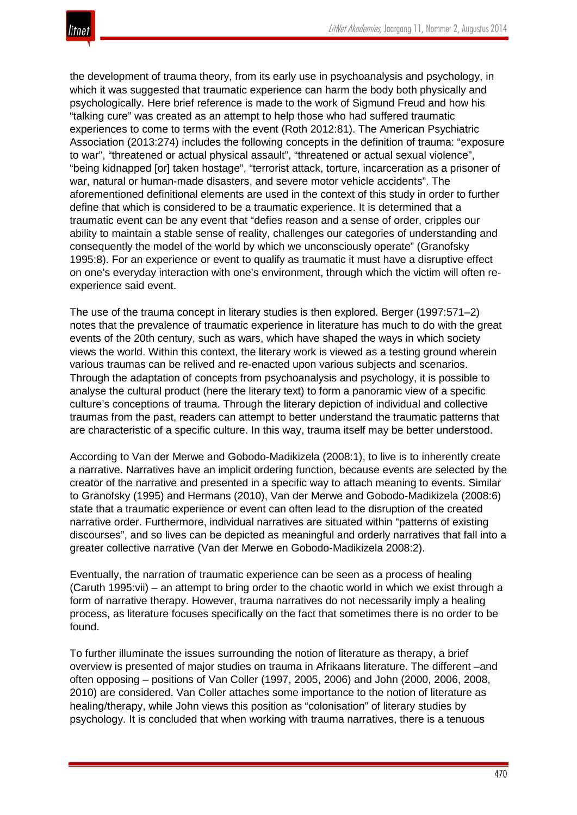the development of trauma theory, from its early use in psychoanalysis and psychology, in which it was suggested that traumatic experience can harm the body both physically and psychologically. Here brief reference is made to the work of Sigmund Freud and how his "talking cure" was created as an attempt to help those who had suffered traumatic experiences to come to terms with the event (Roth 2012:81). The American Psychiatric Association (2013:274) includes the following concepts in the definition of trauma: "exposure to war", "threatened or actual physical assault", "threatened or actual sexual violence", "being kidnapped [or] taken hostage", "terrorist attack, torture, incarceration as a prisoner of war, natural or human-made disasters, and severe motor vehicle accidents". The aforementioned definitional elements are used in the context of this study in order to further define that which is considered to be a traumatic experience. It is determined that a traumatic event can be any event that "defies reason and a sense of order, cripples our ability to maintain a stable sense of reality, challenges our categories of understanding and consequently the model of the world by which we unconsciously operate" (Granofsky 1995:8). For an experience or event to qualify as traumatic it must have a disruptive effect on one's everyday interaction with one's environment, through which the victim will often reexperience said event.

The use of the trauma concept in literary studies is then explored. Berger (1997:571–2) notes that the prevalence of traumatic experience in literature has much to do with the great events of the 20th century, such as wars, which have shaped the ways in which society views the world. Within this context, the literary work is viewed as a testing ground wherein various traumas can be relived and re-enacted upon various subjects and scenarios. Through the adaptation of concepts from psychoanalysis and psychology, it is possible to analyse the cultural product (here the literary text) to form a panoramic view of a specific culture's conceptions of trauma. Through the literary depiction of individual and collective traumas from the past, readers can attempt to better understand the traumatic patterns that are characteristic of a specific culture. In this way, trauma itself may be better understood.

According to Van der Merwe and Gobodo-Madikizela (2008:1), to live is to inherently create a narrative. Narratives have an implicit ordering function, because events are selected by the creator of the narrative and presented in a specific way to attach meaning to events. Similar to Granofsky (1995) and Hermans (2010), Van der Merwe and Gobodo-Madikizela (2008:6) state that a traumatic experience or event can often lead to the disruption of the created narrative order. Furthermore, individual narratives are situated within "patterns of existing discourses", and so lives can be depicted as meaningful and orderly narratives that fall into a greater collective narrative (Van der Merwe en Gobodo-Madikizela 2008:2).

Eventually, the narration of traumatic experience can be seen as a process of healing (Caruth 1995:vii) – an attempt to bring order to the chaotic world in which we exist through a form of narrative therapy. However, trauma narratives do not necessarily imply a healing process, as literature focuses specifically on the fact that sometimes there is no order to be found.

To further illuminate the issues surrounding the notion of literature as therapy, a brief overview is presented of major studies on trauma in Afrikaans literature. The different –and often opposing – positions of Van Coller (1997, 2005, 2006) and John (2000, 2006, 2008, 2010) are considered. Van Coller attaches some importance to the notion of literature as healing/therapy, while John views this position as "colonisation" of literary studies by psychology. It is concluded that when working with trauma narratives, there is a tenuous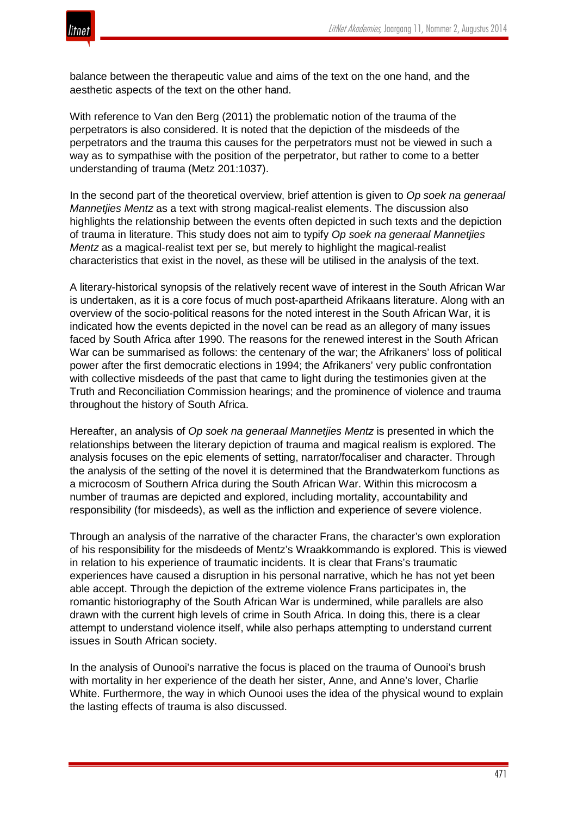

balance between the therapeutic value and aims of the text on the one hand, and the aesthetic aspects of the text on the other hand.

With reference to Van den Berg (2011) the problematic notion of the trauma of the perpetrators is also considered. It is noted that the depiction of the misdeeds of the perpetrators and the trauma this causes for the perpetrators must not be viewed in such a way as to sympathise with the position of the perpetrator, but rather to come to a better understanding of trauma (Metz 201:1037).

In the second part of the theoretical overview, brief attention is given to *Op soek na generaal Mannetjies Mentz* as a text with strong magical-realist elements. The discussion also highlights the relationship between the events often depicted in such texts and the depiction of trauma in literature. This study does not aim to typify *Op soek na generaal Mannetjies Mentz* as a magical-realist text per se, but merely to highlight the magical-realist characteristics that exist in the novel, as these will be utilised in the analysis of the text.

A literary-historical synopsis of the relatively recent wave of interest in the South African War is undertaken, as it is a core focus of much post-apartheid Afrikaans literature. Along with an overview of the socio-political reasons for the noted interest in the South African War, it is indicated how the events depicted in the novel can be read as an allegory of many issues faced by South Africa after 1990. The reasons for the renewed interest in the South African War can be summarised as follows: the centenary of the war; the Afrikaners' loss of political power after the first democratic elections in 1994; the Afrikaners' very public confrontation with collective misdeeds of the past that came to light during the testimonies given at the Truth and Reconciliation Commission hearings; and the prominence of violence and trauma throughout the history of South Africa.

Hereafter, an analysis of *Op soek na generaal Mannetjies Mentz* is presented in which the relationships between the literary depiction of trauma and magical realism is explored. The analysis focuses on the epic elements of setting, narrator/focaliser and character. Through the analysis of the setting of the novel it is determined that the Brandwaterkom functions as a microcosm of Southern Africa during the South African War. Within this microcosm a number of traumas are depicted and explored, including mortality, accountability and responsibility (for misdeeds), as well as the infliction and experience of severe violence.

Through an analysis of the narrative of the character Frans, the character's own exploration of his responsibility for the misdeeds of Mentz's Wraakkommando is explored. This is viewed in relation to his experience of traumatic incidents. It is clear that Frans's traumatic experiences have caused a disruption in his personal narrative, which he has not yet been able accept. Through the depiction of the extreme violence Frans participates in, the romantic historiography of the South African War is undermined, while parallels are also drawn with the current high levels of crime in South Africa. In doing this, there is a clear attempt to understand violence itself, while also perhaps attempting to understand current issues in South African society.

In the analysis of Ounooi's narrative the focus is placed on the trauma of Ounooi's brush with mortality in her experience of the death her sister, Anne, and Anne's lover, Charlie White. Furthermore, the way in which Ounooi uses the idea of the physical wound to explain the lasting effects of trauma is also discussed.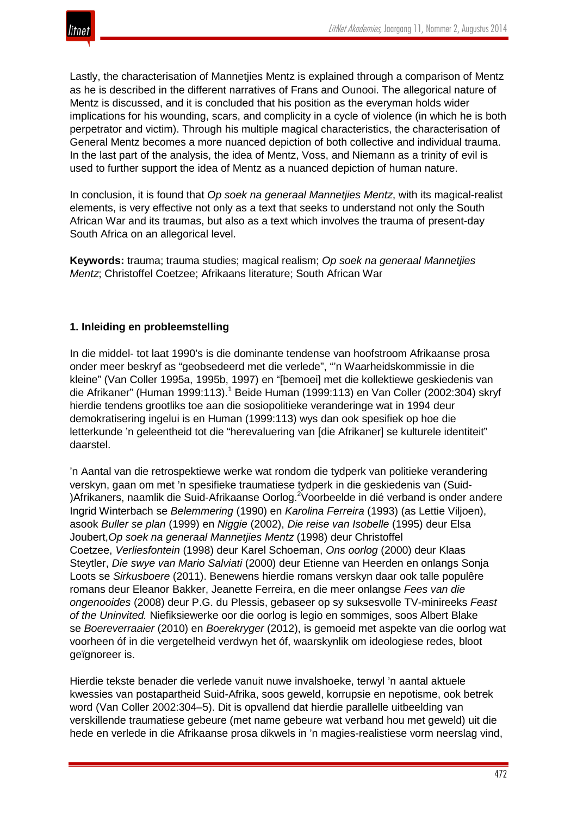Lastly, the characterisation of Mannetjies Mentz is explained through a comparison of Mentz as he is described in the different narratives of Frans and Ounooi. The allegorical nature of Mentz is discussed, and it is concluded that his position as the everyman holds wider implications for his wounding, scars, and complicity in a cycle of violence (in which he is both perpetrator and victim). Through his multiple magical characteristics, the characterisation of General Mentz becomes a more nuanced depiction of both collective and individual trauma. In the last part of the analysis, the idea of Mentz, Voss, and Niemann as a trinity of evil is used to further support the idea of Mentz as a nuanced depiction of human nature.

In conclusion, it is found that *Op soek na generaal Mannetjies Mentz*, with its magical-realist elements, is very effective not only as a text that seeks to understand not only the South African War and its traumas, but also as a text which involves the trauma of present-day South Africa on an allegorical level.

**Keywords:** trauma; trauma studies; magical realism; *Op soek na generaal Mannetjies Mentz*; Christoffel Coetzee; Afrikaans literature; South African War

# **1. Inleiding en probleemstelling**

In die middel- tot laat 1990's is die dominante tendense van hoofstroom Afrikaanse prosa onder meer beskryf as "geobsedeerd met die verlede", "'n Waarheidskommissie in die kleine" (Van Coller 1995a, 1995b, 1997) en "[bemoei] met die kollektiewe geskiedenis van die Afrikaner" (Human 1999:113).<sup>1</sup> Beide Human (1999:113) en Van Coller (2002:304) skryf hierdie tendens grootliks toe aan die sosiopolitieke veranderinge wat in 1994 deur demokratisering ingelui is en Human (1999:113) wys dan ook spesifiek op hoe die letterkunde 'n geleentheid tot die "herevaluering van [die Afrikaner] se kulturele identiteit" daarstel.

'n Aantal van die retrospektiewe werke wat rondom die tydperk van politieke verandering verskyn, gaan om met 'n spesifieke traumatiese tydperk in die geskiedenis van (Suid- )Afrikaners, naamlik die Suid-Afrikaanse Oorlog.<sup>2</sup>Voorbeelde in dié verband is onder andere Ingrid Winterbach se *Belemmering* (1990) en *Karolina Ferreira* (1993) (as Lettie Viljoen), asook *Buller se plan* (1999) en *Niggie* (2002), *Die reise van Isobelle* (1995) deur Elsa Joubert,*Op soek na generaal Mannetjies Mentz* (1998) deur Christoffel Coetzee, *Verliesfontein* (1998) deur Karel Schoeman, *Ons oorlog* (2000) deur Klaas Steytler, *Die swye van Mario Salviati* (2000) deur Etienne van Heerden en onlangs Sonja Loots se *Sirkusboere* (2011). Benewens hierdie romans verskyn daar ook talle populêre romans deur Eleanor Bakker, Jeanette Ferreira, en die meer onlangse *Fees van die ongenooides* (2008) deur P.G. du Plessis, gebaseer op sy suksesvolle TV-minireeks *Feast of the Uninvited.* Niefiksiewerke oor die oorlog is legio en sommiges, soos Albert Blake se *Boereverraaier* (2010) en *Boerekryger* (2012), is gemoeid met aspekte van die oorlog wat voorheen óf in die vergetelheid verdwyn het óf, waarskynlik om ideologiese redes, bloot geïgnoreer is.

Hierdie tekste benader die verlede vanuit nuwe invalshoeke, terwyl 'n aantal aktuele kwessies van postapartheid Suid-Afrika, soos geweld, korrupsie en nepotisme, ook betrek word (Van Coller 2002:304–5). Dit is opvallend dat hierdie parallelle uitbeelding van verskillende traumatiese gebeure (met name gebeure wat verband hou met geweld) uit die hede en verlede in die Afrikaanse prosa dikwels in 'n magies-realistiese vorm neerslag vind,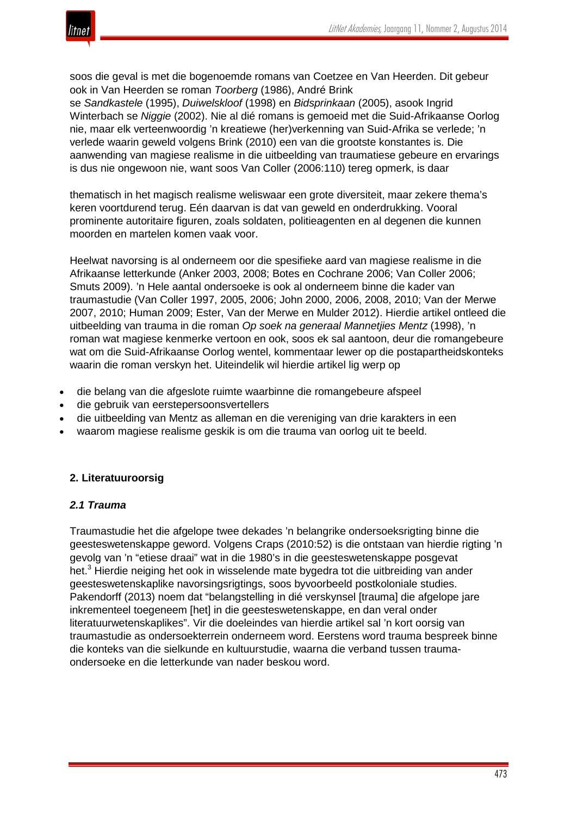

soos die geval is met die bogenoemde romans van Coetzee en Van Heerden. Dit gebeur ook in Van Heerden se roman *Toorberg* (1986), André Brink

se *Sandkastele* (1995), *Duiwelskloof* (1998) en *Bidsprinkaan* (2005), asook Ingrid Winterbach se *Niggie* (2002). Nie al dié romans is gemoeid met die Suid-Afrikaanse Oorlog nie, maar elk verteenwoordig 'n kreatiewe (her)verkenning van Suid-Afrika se verlede; 'n verlede waarin geweld volgens Brink (2010) een van die grootste konstantes is. Die aanwending van magiese realisme in die uitbeelding van traumatiese gebeure en ervarings is dus nie ongewoon nie, want soos Van Coller (2006:110) tereg opmerk, is daar

thematisch in het magisch realisme weliswaar een grote diversiteit, maar zekere thema's keren voortdurend terug. Eén daarvan is dat van geweld en onderdrukking. Vooral prominente autoritaire figuren, zoals soldaten, politieagenten en al degenen die kunnen moorden en martelen komen vaak voor.

Heelwat navorsing is al onderneem oor die spesifieke aard van magiese realisme in die Afrikaanse letterkunde (Anker 2003, 2008; Botes en Cochrane 2006; Van Coller 2006; Smuts 2009). 'n Hele aantal ondersoeke is ook al onderneem binne die kader van traumastudie (Van Coller 1997, 2005, 2006; John 2000, 2006, 2008, 2010; Van der Merwe 2007, 2010; Human 2009; Ester, Van der Merwe en Mulder 2012). Hierdie artikel ontleed die uitbeelding van trauma in die roman *Op soek na generaal Mannetjies Mentz* (1998), 'n roman wat magiese kenmerke vertoon en ook, soos ek sal aantoon, deur die romangebeure wat om die Suid-Afrikaanse Oorlog wentel, kommentaar lewer op die postapartheidskonteks waarin die roman verskyn het. Uiteindelik wil hierdie artikel lig werp op

- die belang van die afgeslote ruimte waarbinne die romangebeure afspeel
- die gebruik van eerstepersoonsvertellers
- die uitbeelding van Mentz as alleman en die vereniging van drie karakters in een
- waarom magiese realisme geskik is om die trauma van oorlog uit te beeld.

## **2. Literatuuroorsig**

#### *2.1 Trauma*

Traumastudie het die afgelope twee dekades 'n belangrike ondersoeksrigting binne die geesteswetenskappe geword. Volgens Craps (2010:52) is die ontstaan van hierdie rigting 'n gevolg van 'n "etiese draai" wat in die 1980's in die geesteswetenskappe posgevat het.<sup>3</sup> Hierdie neiging het ook in wisselende mate bygedra tot die uitbreiding van ander geesteswetenskaplike navorsingsrigtings, soos byvoorbeeld postkoloniale studies. Pakendorff (2013) noem dat "belangstelling in dié verskynsel [trauma] die afgelope jare inkrementeel toegeneem [het] in die geesteswetenskappe, en dan veral onder literatuurwetenskaplikes". Vir die doeleindes van hierdie artikel sal 'n kort oorsig van traumastudie as ondersoekterrein onderneem word. Eerstens word trauma bespreek binne die konteks van die sielkunde en kultuurstudie, waarna die verband tussen traumaondersoeke en die letterkunde van nader beskou word.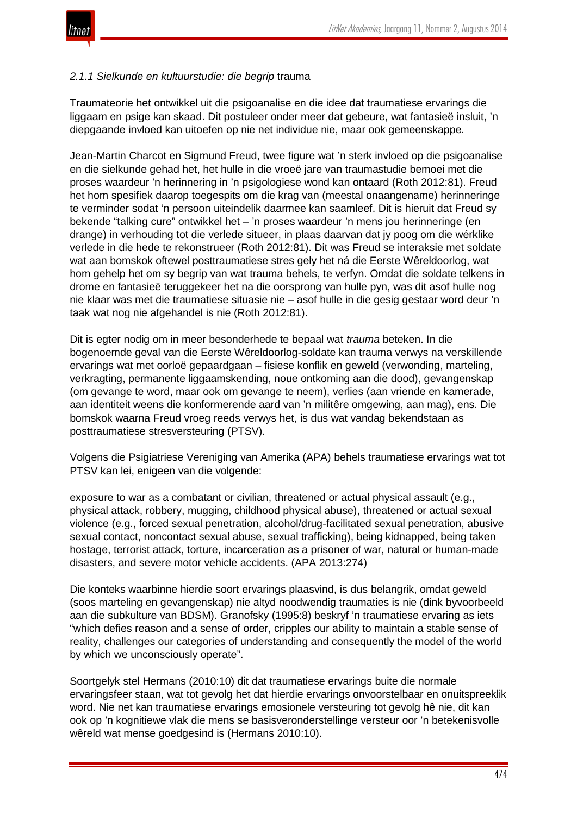

## *2.1.1 Sielkunde en kultuurstudie: die begrip* trauma

Traumateorie het ontwikkel uit die psigoanalise en die idee dat traumatiese ervarings die liggaam en psige kan skaad. Dit postuleer onder meer dat gebeure, wat fantasieë insluit, 'n diepgaande invloed kan uitoefen op nie net individue nie, maar ook gemeenskappe.

Jean-Martin Charcot en Sigmund Freud, twee figure wat 'n sterk invloed op die psigoanalise en die sielkunde gehad het, het hulle in die vroeë jare van traumastudie bemoei met die proses waardeur 'n herinnering in 'n psigologiese wond kan ontaard (Roth 2012:81). Freud het hom spesifiek daarop toegespits om die krag van (meestal onaangename) herinneringe te verminder sodat 'n persoon uiteindelik daarmee kan saamleef. Dit is hieruit dat Freud sy bekende "talking cure" ontwikkel het – 'n proses waardeur 'n mens jou herinneringe (en drange) in verhouding tot die verlede situeer, in plaas daarvan dat jy poog om die wérklike verlede in die hede te rekonstrueer (Roth 2012:81). Dit was Freud se interaksie met soldate wat aan bomskok oftewel posttraumatiese stres gely het ná die Eerste Wêreldoorlog, wat hom gehelp het om sy begrip van wat trauma behels, te verfyn. Omdat die soldate telkens in drome en fantasieë teruggekeer het na die oorsprong van hulle pyn, was dit asof hulle nog nie klaar was met die traumatiese situasie nie – asof hulle in die gesig gestaar word deur 'n taak wat nog nie afgehandel is nie (Roth 2012:81).

Dit is egter nodig om in meer besonderhede te bepaal wat *trauma* beteken. In die bogenoemde geval van die Eerste Wêreldoorlog-soldate kan trauma verwys na verskillende ervarings wat met oorloë gepaardgaan – fisiese konflik en geweld (verwonding, marteling, verkragting, permanente liggaamskending, noue ontkoming aan die dood), gevangenskap (om gevange te word, maar ook om gevange te neem), verlies (aan vriende en kamerade, aan identiteit weens die konformerende aard van 'n militêre omgewing, aan mag), ens. Die bomskok waarna Freud vroeg reeds verwys het, is dus wat vandag bekendstaan as posttraumatiese stresversteuring (PTSV).

Volgens die Psigiatriese Vereniging van Amerika (APA) behels traumatiese ervarings wat tot PTSV kan lei, enigeen van die volgende:

exposure to war as a combatant or civilian, threatened or actual physical assault (e.g., physical attack, robbery, mugging, childhood physical abuse), threatened or actual sexual violence (e.g., forced sexual penetration, alcohol/drug-facilitated sexual penetration, abusive sexual contact, noncontact sexual abuse, sexual trafficking), being kidnapped, being taken hostage, terrorist attack, torture, incarceration as a prisoner of war, natural or human-made disasters, and severe motor vehicle accidents. (APA 2013:274)

Die konteks waarbinne hierdie soort ervarings plaasvind, is dus belangrik, omdat geweld (soos marteling en gevangenskap) nie altyd noodwendig traumaties is nie (dink byvoorbeeld aan die subkulture van BDSM). Granofsky (1995:8) beskryf 'n traumatiese ervaring as iets "which defies reason and a sense of order, cripples our ability to maintain a stable sense of reality, challenges our categories of understanding and consequently the model of the world by which we unconsciously operate".

Soortgelyk stel Hermans (2010:10) dit dat traumatiese ervarings buite die normale ervaringsfeer staan, wat tot gevolg het dat hierdie ervarings onvoorstelbaar en onuitspreeklik word. Nie net kan traumatiese ervarings emosionele versteuring tot gevolg hê nie, dit kan ook op 'n kognitiewe vlak die mens se basisveronderstellinge versteur oor 'n betekenisvolle wêreld wat mense goedgesind is (Hermans 2010:10).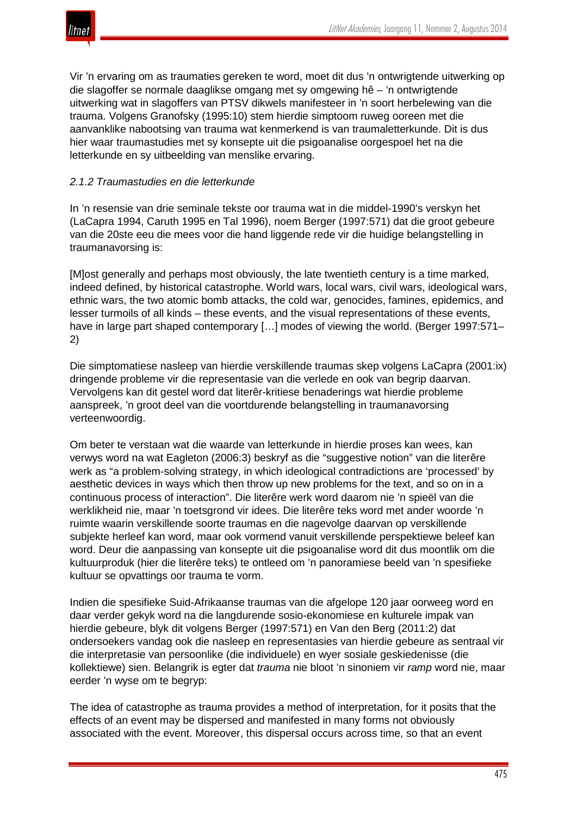

Vir 'n ervaring om as traumaties gereken te word, moet dit dus 'n ontwrigtende uitwerking op die slagoffer se normale daaglikse omgang met sy omgewing hê – 'n ontwrigtende uitwerking wat in slagoffers van PTSV dikwels manifesteer in 'n soort herbelewing van die trauma. Volgens Granofsky (1995:10) stem hierdie simptoom ruweg ooreen met die aanvanklike nabootsing van trauma wat kenmerkend is van traumaletterkunde. Dit is dus hier waar traumastudies met sy konsepte uit die psigoanalise oorgespoel het na die letterkunde en sy uitbeelding van menslike ervaring.

## *2.1.2 Traumastudies en die letterkunde*

In 'n resensie van drie seminale tekste oor trauma wat in die middel-1990's verskyn het (LaCapra 1994, Caruth 1995 en Tal 1996), noem Berger (1997:571) dat die groot gebeure van die 20ste eeu die mees voor die hand liggende rede vir die huidige belangstelling in traumanavorsing is:

[M]ost generally and perhaps most obviously, the late twentieth century is a time marked, indeed defined, by historical catastrophe. World wars, local wars, civil wars, ideological wars, ethnic wars, the two atomic bomb attacks, the cold war, genocides, famines, epidemics, and lesser turmoils of all kinds – these events, and the visual representations of these events, have in large part shaped contemporary [...] modes of viewing the world. (Berger 1997:571– 2)

Die simptomatiese nasleep van hierdie verskillende traumas skep volgens LaCapra (2001:ix) dringende probleme vir die representasie van die verlede en ook van begrip daarvan. Vervolgens kan dit gestel word dat literêr-kritiese benaderings wat hierdie probleme aanspreek, 'n groot deel van die voortdurende belangstelling in traumanavorsing verteenwoordig.

Om beter te verstaan wat die waarde van letterkunde in hierdie proses kan wees, kan verwys word na wat Eagleton (2006:3) beskryf as die "suggestive notion" van die literêre werk as "a problem-solving strategy, in which ideological contradictions are 'processed' by aesthetic devices in ways which then throw up new problems for the text, and so on in a continuous process of interaction". Die literêre werk word daarom nie 'n spieël van die werklikheid nie, maar 'n toetsgrond vir idees. Die literêre teks word met ander woorde 'n ruimte waarin verskillende soorte traumas en die nagevolge daarvan op verskillende subjekte herleef kan word, maar ook vormend vanuit verskillende perspektiewe beleef kan word. Deur die aanpassing van konsepte uit die psigoanalise word dit dus moontlik om die kultuurproduk (hier die literêre teks) te ontleed om 'n panoramiese beeld van 'n spesifieke kultuur se opvattings oor trauma te vorm.

Indien die spesifieke Suid-Afrikaanse traumas van die afgelope 120 jaar oorweeg word en daar verder gekyk word na die langdurende sosio-ekonomiese en kulturele impak van hierdie gebeure, blyk dit volgens Berger (1997:571) en Van den Berg (2011:2) dat ondersoekers vandag ook die nasleep en representasies van hierdie gebeure as sentraal vir die interpretasie van persoonlike (die individuele) en wyer sosiale geskiedenisse (die kollektiewe) sien. Belangrik is egter dat *trauma* nie bloot 'n sinoniem vir *ramp* word nie, maar eerder 'n wyse om te begryp:

The idea of catastrophe as trauma provides a method of interpretation, for it posits that the effects of an event may be dispersed and manifested in many forms not obviously associated with the event. Moreover, this dispersal occurs across time, so that an event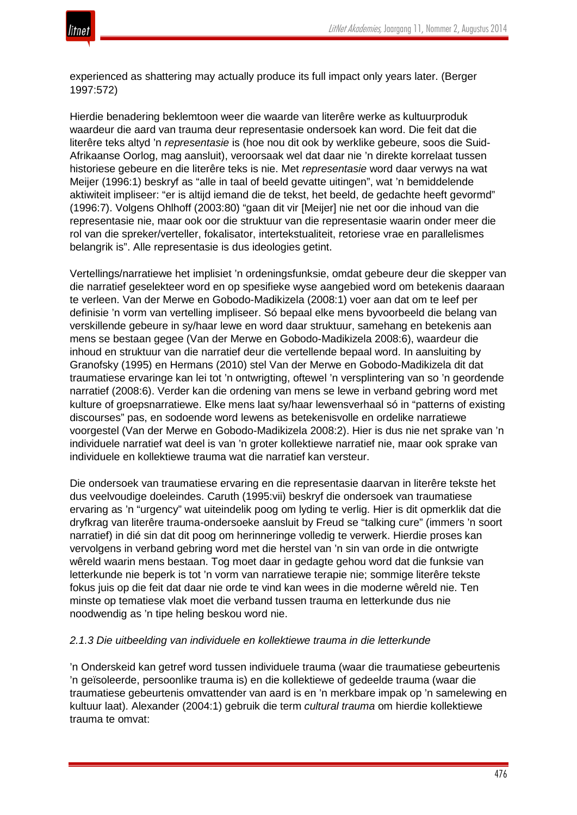

experienced as shattering may actually produce its full impact only years later. (Berger 1997:572)

Hierdie benadering beklemtoon weer die waarde van literêre werke as kultuurproduk waardeur die aard van trauma deur representasie ondersoek kan word. Die feit dat die literêre teks altyd 'n *representasie* is (hoe nou dit ook by werklike gebeure, soos die Suid-Afrikaanse Oorlog, mag aansluit), veroorsaak wel dat daar nie 'n direkte korrelaat tussen historiese gebeure en die literêre teks is nie. Met *representasie* word daar verwys na wat Meijer (1996:1) beskryf as "alle in taal of beeld gevatte uitingen", wat 'n bemiddelende aktiwiteit impliseer: "er is altijd iemand die de tekst, het beeld, de gedachte heeft gevormd" (1996:7). Volgens Ohlhoff (2003:80) "gaan dit vir [Meijer] nie net oor die inhoud van die representasie nie, maar ook oor die struktuur van die representasie waarin onder meer die rol van die spreker/verteller, fokalisator, intertekstualiteit, retoriese vrae en parallelismes belangrik is". Alle representasie is dus ideologies getint.

Vertellings/narratiewe het implisiet 'n ordeningsfunksie, omdat gebeure deur die skepper van die narratief geselekteer word en op spesifieke wyse aangebied word om betekenis daaraan te verleen. Van der Merwe en Gobodo-Madikizela (2008:1) voer aan dat om te leef per definisie 'n vorm van vertelling impliseer. Só bepaal elke mens byvoorbeeld die belang van verskillende gebeure in sy/haar lewe en word daar struktuur, samehang en betekenis aan mens se bestaan gegee (Van der Merwe en Gobodo-Madikizela 2008:6), waardeur die inhoud en struktuur van die narratief deur die vertellende bepaal word. In aansluiting by Granofsky (1995) en Hermans (2010) stel Van der Merwe en Gobodo-Madikizela dit dat traumatiese ervaringe kan lei tot 'n ontwrigting, oftewel 'n versplintering van so 'n geordende narratief (2008:6). Verder kan die ordening van mens se lewe in verband gebring word met kulture of groepsnarratiewe. Elke mens laat sy/haar lewensverhaal só in "patterns of existing discourses" pas, en sodoende word lewens as betekenisvolle en ordelike narratiewe voorgestel (Van der Merwe en Gobodo-Madikizela 2008:2). Hier is dus nie net sprake van 'n individuele narratief wat deel is van 'n groter kollektiewe narratief nie, maar ook sprake van individuele en kollektiewe trauma wat die narratief kan versteur.

Die ondersoek van traumatiese ervaring en die representasie daarvan in literêre tekste het dus veelvoudige doeleindes. Caruth (1995:vii) beskryf die ondersoek van traumatiese ervaring as 'n "urgency" wat uiteindelik poog om lyding te verlig. Hier is dit opmerklik dat die dryfkrag van literêre trauma-ondersoeke aansluit by Freud se "talking cure" (immers 'n soort narratief) in dié sin dat dit poog om herinneringe volledig te verwerk. Hierdie proses kan vervolgens in verband gebring word met die herstel van 'n sin van orde in die ontwrigte wêreld waarin mens bestaan. Tog moet daar in gedagte gehou word dat die funksie van letterkunde nie beperk is tot 'n vorm van narratiewe terapie nie; sommige literêre tekste fokus juis op die feit dat daar nie orde te vind kan wees in die moderne wêreld nie. Ten minste op tematiese vlak moet die verband tussen trauma en letterkunde dus nie noodwendig as 'n tipe heling beskou word nie.

#### *2.1.3 Die uitbeelding van individuele en kollektiewe trauma in die letterkunde*

'n Onderskeid kan getref word tussen individuele trauma (waar die traumatiese gebeurtenis 'n geïsoleerde, persoonlike trauma is) en die kollektiewe of gedeelde trauma (waar die traumatiese gebeurtenis omvattender van aard is en 'n merkbare impak op 'n samelewing en kultuur laat). Alexander (2004:1) gebruik die term *cultural trauma* om hierdie kollektiewe trauma te omvat: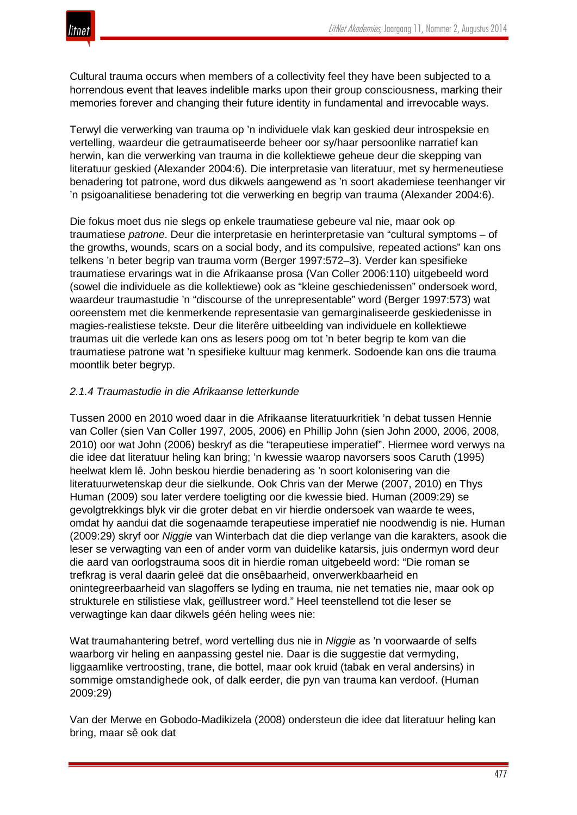

Cultural trauma occurs when members of a collectivity feel they have been subjected to a horrendous event that leaves indelible marks upon their group consciousness, marking their memories forever and changing their future identity in fundamental and irrevocable ways.

Terwyl die verwerking van trauma op 'n individuele vlak kan geskied deur introspeksie en vertelling, waardeur die getraumatiseerde beheer oor sy/haar persoonlike narratief kan herwin, kan die verwerking van trauma in die kollektiewe geheue deur die skepping van literatuur geskied (Alexander 2004:6). Die interpretasie van literatuur, met sy hermeneutiese benadering tot patrone, word dus dikwels aangewend as 'n soort akademiese teenhanger vir 'n psigoanalitiese benadering tot die verwerking en begrip van trauma (Alexander 2004:6).

Die fokus moet dus nie slegs op enkele traumatiese gebeure val nie, maar ook op traumatiese *patrone*. Deur die interpretasie en herinterpretasie van "cultural symptoms – of the growths, wounds, scars on a social body, and its compulsive, repeated actions" kan ons telkens 'n beter begrip van trauma vorm (Berger 1997:572–3). Verder kan spesifieke traumatiese ervarings wat in die Afrikaanse prosa (Van Coller 2006:110) uitgebeeld word (sowel die individuele as die kollektiewe) ook as "kleine geschiedenissen" ondersoek word, waardeur traumastudie 'n "discourse of the unrepresentable" word (Berger 1997:573) wat ooreenstem met die kenmerkende representasie van gemarginaliseerde geskiedenisse in magies-realistiese tekste. Deur die literêre uitbeelding van individuele en kollektiewe traumas uit die verlede kan ons as lesers poog om tot 'n beter begrip te kom van die traumatiese patrone wat 'n spesifieke kultuur mag kenmerk. Sodoende kan ons die trauma moontlik beter begryp.

## *2.1.4 Traumastudie in die Afrikaanse letterkunde*

Tussen 2000 en 2010 woed daar in die Afrikaanse literatuurkritiek 'n debat tussen Hennie van Coller (sien Van Coller 1997, 2005, 2006) en Phillip John (sien John 2000, 2006, 2008, 2010) oor wat John (2006) beskryf as die "terapeutiese imperatief". Hiermee word verwys na die idee dat literatuur heling kan bring; 'n kwessie waarop navorsers soos Caruth (1995) heelwat klem lê. John beskou hierdie benadering as 'n soort kolonisering van die literatuurwetenskap deur die sielkunde. Ook Chris van der Merwe (2007, 2010) en Thys Human (2009) sou later verdere toeligting oor die kwessie bied. Human (2009:29) se gevolgtrekkings blyk vir die groter debat en vir hierdie ondersoek van waarde te wees, omdat hy aandui dat die sogenaamde terapeutiese imperatief nie noodwendig is nie. Human (2009:29) skryf oor *Niggie* van Winterbach dat die diep verlange van die karakters, asook die leser se verwagting van een of ander vorm van duidelike katarsis, juis ondermyn word deur die aard van oorlogstrauma soos dit in hierdie roman uitgebeeld word: "Die roman se trefkrag is veral daarin geleë dat die onsêbaarheid, onverwerkbaarheid en onintegreerbaarheid van slagoffers se lyding en trauma, nie net tematies nie, maar ook op strukturele en stilistiese vlak, geïllustreer word." Heel teenstellend tot die leser se verwagtinge kan daar dikwels géén heling wees nie:

Wat traumahantering betref, word vertelling dus nie in *Niggie* as 'n voorwaarde of selfs waarborg vir heling en aanpassing gestel nie. Daar is die suggestie dat vermyding, liggaamlike vertroosting, trane, die bottel, maar ook kruid (tabak en veral andersins) in sommige omstandighede ook, of dalk eerder, die pyn van trauma kan verdoof. (Human 2009:29)

Van der Merwe en Gobodo-Madikizela (2008) ondersteun die idee dat literatuur heling kan bring, maar sê ook dat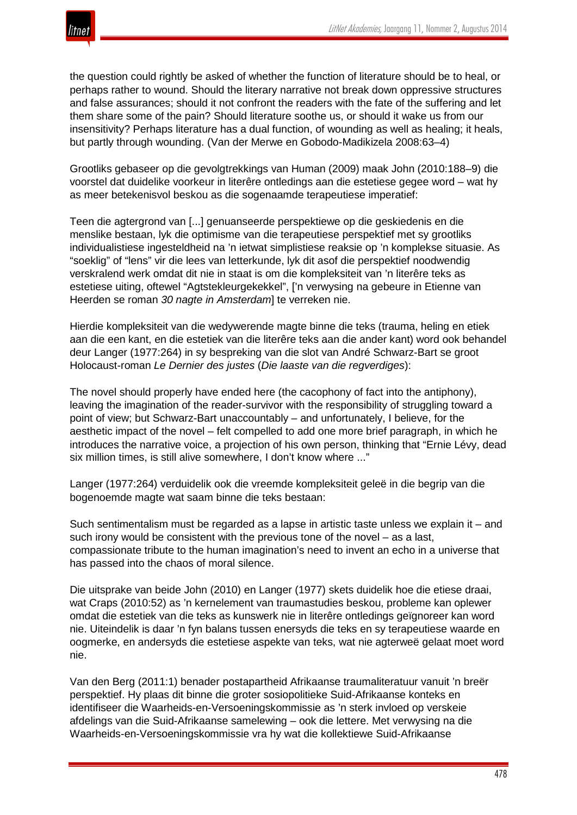

the question could rightly be asked of whether the function of literature should be to heal, or perhaps rather to wound. Should the literary narrative not break down oppressive structures and false assurances; should it not confront the readers with the fate of the suffering and let them share some of the pain? Should literature soothe us, or should it wake us from our insensitivity? Perhaps literature has a dual function, of wounding as well as healing; it heals, but partly through wounding. (Van der Merwe en Gobodo-Madikizela 2008:63–4)

Grootliks gebaseer op die gevolgtrekkings van Human (2009) maak John (2010:188–9) die voorstel dat duidelike voorkeur in literêre ontledings aan die estetiese gegee word – wat hy as meer betekenisvol beskou as die sogenaamde terapeutiese imperatief:

Teen die agtergrond van [...] genuanseerde perspektiewe op die geskiedenis en die menslike bestaan, lyk die optimisme van die terapeutiese perspektief met sy grootliks individualistiese ingesteldheid na 'n ietwat simplistiese reaksie op 'n komplekse situasie. As "soeklig" of "lens" vir die lees van letterkunde, lyk dit asof die perspektief noodwendig verskralend werk omdat dit nie in staat is om die kompleksiteit van 'n literêre teks as estetiese uiting, oftewel "Agtstekleurgekekkel", ['n verwysing na gebeure in Etienne van Heerden se roman *30 nagte in Amsterdam*] te verreken nie.

Hierdie kompleksiteit van die wedywerende magte binne die teks (trauma, heling en etiek aan die een kant, en die estetiek van die literêre teks aan die ander kant) word ook behandel deur Langer (1977:264) in sy bespreking van die slot van André Schwarz-Bart se groot Holocaust-roman *Le Dernier des justes* (*Die laaste van die regverdiges*):

The novel should properly have ended here (the cacophony of fact into the antiphony), leaving the imagination of the reader-survivor with the responsibility of struggling toward a point of view; but Schwarz-Bart unaccountably – and unfortunately, I believe, for the aesthetic impact of the novel – felt compelled to add one more brief paragraph, in which he introduces the narrative voice, a projection of his own person, thinking that "Ernie Lévy, dead six million times, is still alive somewhere, I don't know where ..."

Langer (1977:264) verduidelik ook die vreemde kompleksiteit geleë in die begrip van die bogenoemde magte wat saam binne die teks bestaan:

Such sentimentalism must be regarded as a lapse in artistic taste unless we explain it – and such irony would be consistent with the previous tone of the novel – as a last, compassionate tribute to the human imagination's need to invent an echo in a universe that has passed into the chaos of moral silence.

Die uitsprake van beide John (2010) en Langer (1977) skets duidelik hoe die etiese draai, wat Craps (2010:52) as 'n kernelement van traumastudies beskou, probleme kan oplewer omdat die estetiek van die teks as kunswerk nie in literêre ontledings geïgnoreer kan word nie. Uiteindelik is daar 'n fyn balans tussen enersyds die teks en sy terapeutiese waarde en oogmerke, en andersyds die estetiese aspekte van teks, wat nie agterweë gelaat moet word nie.

Van den Berg (2011:1) benader postapartheid Afrikaanse traumaliteratuur vanuit 'n breër perspektief. Hy plaas dit binne die groter sosiopolitieke Suid-Afrikaanse konteks en identifiseer die Waarheids-en-Versoeningskommissie as 'n sterk invloed op verskeie afdelings van die Suid-Afrikaanse samelewing – ook die lettere. Met verwysing na die Waarheids-en-Versoeningskommissie vra hy wat die kollektiewe Suid-Afrikaanse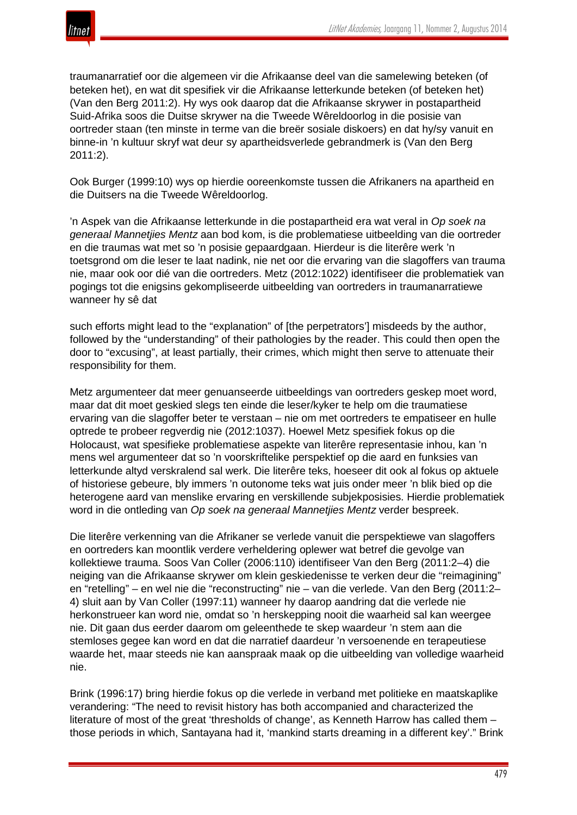

traumanarratief oor die algemeen vir die Afrikaanse deel van die samelewing beteken (of beteken het), en wat dit spesifiek vir die Afrikaanse letterkunde beteken (of beteken het) (Van den Berg 2011:2). Hy wys ook daarop dat die Afrikaanse skrywer in postapartheid Suid-Afrika soos die Duitse skrywer na die Tweede Wêreldoorlog in die posisie van oortreder staan (ten minste in terme van die breër sosiale diskoers) en dat hy/sy vanuit en binne-in 'n kultuur skryf wat deur sy apartheidsverlede gebrandmerk is (Van den Berg 2011:2).

Ook Burger (1999:10) wys op hierdie ooreenkomste tussen die Afrikaners na apartheid en die Duitsers na die Tweede Wêreldoorlog.

'n Aspek van die Afrikaanse letterkunde in die postapartheid era wat veral in *Op soek na generaal Mannetjies Mentz* aan bod kom, is die problematiese uitbeelding van die oortreder en die traumas wat met so 'n posisie gepaardgaan. Hierdeur is die literêre werk 'n toetsgrond om die leser te laat nadink, nie net oor die ervaring van die slagoffers van trauma nie, maar ook oor dié van die oortreders. Metz (2012:1022) identifiseer die problematiek van pogings tot die enigsins gekompliseerde uitbeelding van oortreders in traumanarratiewe wanneer hy sê dat

such efforts might lead to the "explanation" of [the perpetrators'] misdeeds by the author, followed by the "understanding" of their pathologies by the reader. This could then open the door to "excusing", at least partially, their crimes, which might then serve to attenuate their responsibility for them.

Metz argumenteer dat meer genuanseerde uitbeeldings van oortreders geskep moet word, maar dat dit moet geskied slegs ten einde die leser/kyker te help om die traumatiese ervaring van die slagoffer beter te verstaan – nie om met oortreders te empatiseer en hulle optrede te probeer regverdig nie (2012:1037). Hoewel Metz spesifiek fokus op die Holocaust, wat spesifieke problematiese aspekte van literêre representasie inhou, kan 'n mens wel argumenteer dat so 'n voorskriftelike perspektief op die aard en funksies van letterkunde altyd verskralend sal werk. Die literêre teks, hoeseer dit ook al fokus op aktuele of historiese gebeure, bly immers 'n outonome teks wat juis onder meer 'n blik bied op die heterogene aard van menslike ervaring en verskillende subjekposisies. Hierdie problematiek word in die ontleding van *Op soek na generaal Mannetjies Mentz* verder bespreek.

Die literêre verkenning van die Afrikaner se verlede vanuit die perspektiewe van slagoffers en oortreders kan moontlik verdere verheldering oplewer wat betref die gevolge van kollektiewe trauma. Soos Van Coller (2006:110) identifiseer Van den Berg (2011:2–4) die neiging van die Afrikaanse skrywer om klein geskiedenisse te verken deur die "reimagining" en "retelling" – en wel nie die "reconstructing" nie – van die verlede. Van den Berg (2011:2– 4) sluit aan by Van Coller (1997:11) wanneer hy daarop aandring dat die verlede nie herkonstrueer kan word nie, omdat so 'n herskepping nooit die waarheid sal kan weergee nie. Dit gaan dus eerder daarom om geleenthede te skep waardeur 'n stem aan die stemloses gegee kan word en dat die narratief daardeur 'n versoenende en terapeutiese waarde het, maar steeds nie kan aanspraak maak op die uitbeelding van volledige waarheid nie.

Brink (1996:17) bring hierdie fokus op die verlede in verband met politieke en maatskaplike verandering: "The need to revisit history has both accompanied and characterized the literature of most of the great 'thresholds of change', as Kenneth Harrow has called them – those periods in which, Santayana had it, 'mankind starts dreaming in a different key'." Brink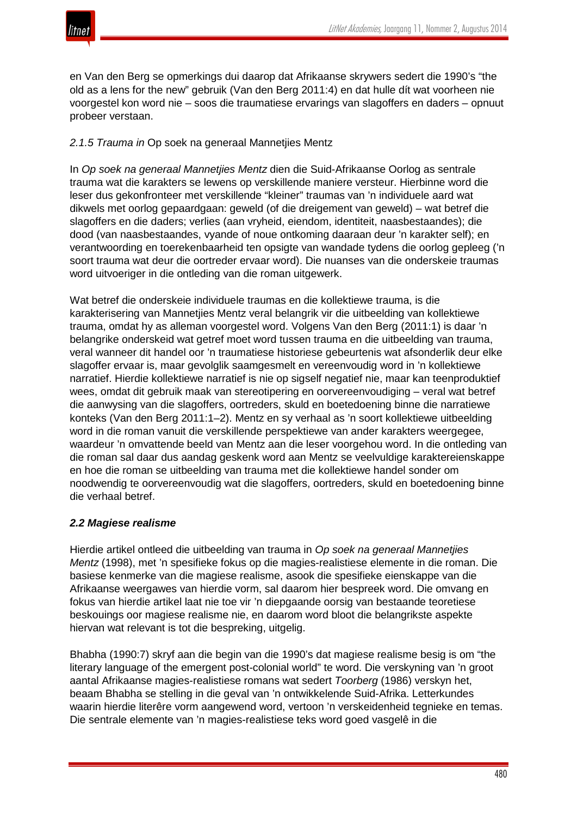

en Van den Berg se opmerkings dui daarop dat Afrikaanse skrywers sedert die 1990's "the old as a lens for the new" gebruik (Van den Berg 2011:4) en dat hulle dít wat voorheen nie voorgestel kon word nie – soos die traumatiese ervarings van slagoffers en daders – opnuut probeer verstaan.

# *2.1.5 Trauma in* Op soek na generaal Mannetjies Mentz

In *Op soek na generaal Mannetjies Mentz* dien die Suid-Afrikaanse Oorlog as sentrale trauma wat die karakters se lewens op verskillende maniere versteur. Hierbinne word die leser dus gekonfronteer met verskillende "kleiner" traumas van 'n individuele aard wat dikwels met oorlog gepaardgaan: geweld (of die dreigement van geweld) – wat betref die slagoffers en die daders; verlies (aan vryheid, eiendom, identiteit, naasbestaandes); die dood (van naasbestaandes, vyande of noue ontkoming daaraan deur 'n karakter self); en verantwoording en toerekenbaarheid ten opsigte van wandade tydens die oorlog gepleeg ('n soort trauma wat deur die oortreder ervaar word). Die nuanses van die onderskeie traumas word uitvoeriger in die ontleding van die roman uitgewerk.

Wat betref die onderskeie individuele traumas en die kollektiewe trauma, is die karakterisering van Mannetjies Mentz veral belangrik vir die uitbeelding van kollektiewe trauma, omdat hy as alleman voorgestel word. Volgens Van den Berg (2011:1) is daar 'n belangrike onderskeid wat getref moet word tussen trauma en die uitbeelding van trauma, veral wanneer dit handel oor 'n traumatiese historiese gebeurtenis wat afsonderlik deur elke slagoffer ervaar is, maar gevolglik saamgesmelt en vereenvoudig word in 'n kollektiewe narratief. Hierdie kollektiewe narratief is nie op sigself negatief nie, maar kan teenproduktief wees, omdat dit gebruik maak van stereotipering en oorvereenvoudiging – veral wat betref die aanwysing van die slagoffers, oortreders, skuld en boetedoening binne die narratiewe konteks (Van den Berg 2011:1–2). Mentz en sy verhaal as 'n soort kollektiewe uitbeelding word in die roman vanuit die verskillende perspektiewe van ander karakters weergegee, waardeur 'n omvattende beeld van Mentz aan die leser voorgehou word. In die ontleding van die roman sal daar dus aandag geskenk word aan Mentz se veelvuldige karaktereienskappe en hoe die roman se uitbeelding van trauma met die kollektiewe handel sonder om noodwendig te oorvereenvoudig wat die slagoffers, oortreders, skuld en boetedoening binne die verhaal betref.

## *2.2 Magiese realisme*

Hierdie artikel ontleed die uitbeelding van trauma in *Op soek na generaal Mannetjies Mentz* (1998), met 'n spesifieke fokus op die magies-realistiese elemente in die roman. Die basiese kenmerke van die magiese realisme, asook die spesifieke eienskappe van die Afrikaanse weergawes van hierdie vorm, sal daarom hier bespreek word. Die omvang en fokus van hierdie artikel laat nie toe vir 'n diepgaande oorsig van bestaande teoretiese beskouings oor magiese realisme nie, en daarom word bloot die belangrikste aspekte hiervan wat relevant is tot die bespreking, uitgelig.

Bhabha (1990:7) skryf aan die begin van die 1990's dat magiese realisme besig is om "the literary language of the emergent post-colonial world" te word. Die verskyning van 'n groot aantal Afrikaanse magies-realistiese romans wat sedert *Toorberg* (1986) verskyn het, beaam Bhabha se stelling in die geval van 'n ontwikkelende Suid-Afrika. Letterkundes waarin hierdie literêre vorm aangewend word, vertoon 'n verskeidenheid tegnieke en temas. Die sentrale elemente van 'n magies-realistiese teks word goed vasgelê in die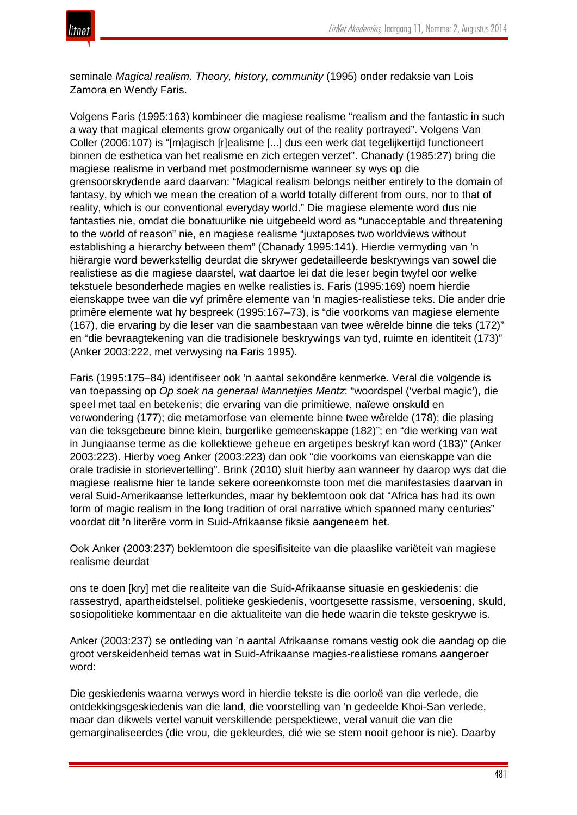

seminale *Magical realism. Theory, history, community* (1995) onder redaksie van Lois Zamora en Wendy Faris.

Volgens Faris (1995:163) kombineer die magiese realisme "realism and the fantastic in such a way that magical elements grow organically out of the reality portrayed". Volgens Van Coller (2006:107) is "[m]agisch [r]ealisme [...] dus een werk dat tegelijkertijd functioneert binnen de esthetica van het realisme en zich ertegen verzet". Chanady (1985:27) bring die magiese realisme in verband met postmodernisme wanneer sy wys op die grensoorskrydende aard daarvan: "Magical realism belongs neither entirely to the domain of fantasy, by which we mean the creation of a world totally different from ours, nor to that of reality, which is our conventional everyday world." Die magiese elemente word dus nie fantasties nie, omdat die bonatuurlike nie uitgebeeld word as "unacceptable and threatening to the world of reason" nie, en magiese realisme "juxtaposes two worldviews without establishing a hierarchy between them" (Chanady 1995:141). Hierdie vermyding van 'n hiërargie word bewerkstellig deurdat die skrywer gedetailleerde beskrywings van sowel die realistiese as die magiese daarstel, wat daartoe lei dat die leser begin twyfel oor welke tekstuele besonderhede magies en welke realisties is. Faris (1995:169) noem hierdie eienskappe twee van die vyf primêre elemente van 'n magies-realistiese teks. Die ander drie primêre elemente wat hy bespreek (1995:167–73), is "die voorkoms van magiese elemente (167), die ervaring by die leser van die saambestaan van twee wêrelde binne die teks (172)" en "die bevraagtekening van die tradisionele beskrywings van tyd, ruimte en identiteit (173)" (Anker 2003:222, met verwysing na Faris 1995).

Faris (1995:175–84) identifiseer ook 'n aantal sekondêre kenmerke. Veral die volgende is van toepassing op *Op soek na generaal Mannetjies Mentz*: "woordspel ('verbal magic'), die speel met taal en betekenis; die ervaring van die primitiewe, naïewe onskuld en verwondering (177); die metamorfose van elemente binne twee wêrelde (178); die plasing van die teksgebeure binne klein, burgerlike gemeenskappe (182)"; en "die werking van wat in Jungiaanse terme as die kollektiewe geheue en argetipes beskryf kan word (183)" (Anker 2003:223). Hierby voeg Anker (2003:223) dan ook "die voorkoms van eienskappe van die orale tradisie in storievertelling". Brink (2010) sluit hierby aan wanneer hy daarop wys dat die magiese realisme hier te lande sekere ooreenkomste toon met die manifestasies daarvan in veral Suid-Amerikaanse letterkundes, maar hy beklemtoon ook dat "Africa has had its own form of magic realism in the long tradition of oral narrative which spanned many centuries" voordat dit 'n literêre vorm in Suid-Afrikaanse fiksie aangeneem het.

Ook Anker (2003:237) beklemtoon die spesifisiteite van die plaaslike variëteit van magiese realisme deurdat

ons te doen [kry] met die realiteite van die Suid-Afrikaanse situasie en geskiedenis: die rassestryd, apartheidstelsel, politieke geskiedenis, voortgesette rassisme, versoening, skuld, sosiopolitieke kommentaar en die aktualiteite van die hede waarin die tekste geskrywe is.

Anker (2003:237) se ontleding van 'n aantal Afrikaanse romans vestig ook die aandag op die groot verskeidenheid temas wat in Suid-Afrikaanse magies-realistiese romans aangeroer word:

Die geskiedenis waarna verwys word in hierdie tekste is die oorloë van die verlede, die ontdekkingsgeskiedenis van die land, die voorstelling van 'n gedeelde Khoi-San verlede, maar dan dikwels vertel vanuit verskillende perspektiewe, veral vanuit die van die gemarginaliseerdes (die vrou, die gekleurdes, dié wie se stem nooit gehoor is nie). Daarby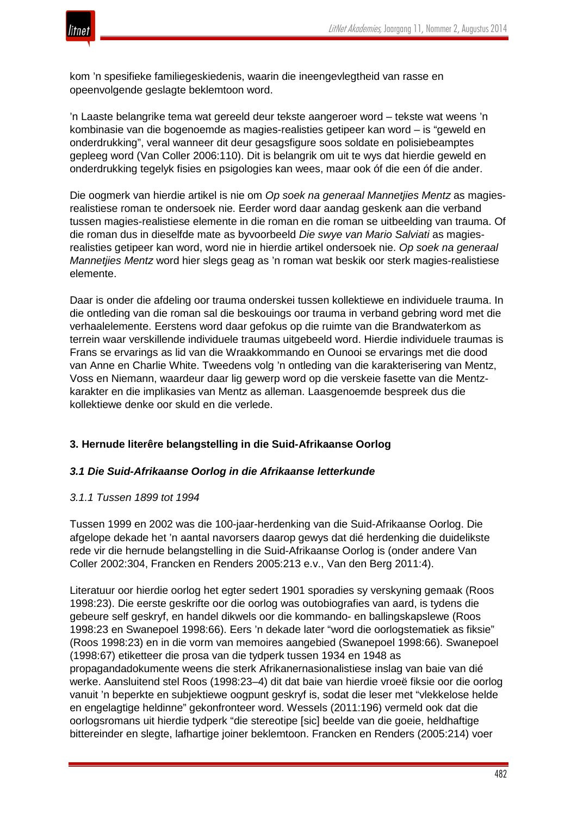

kom 'n spesifieke familiegeskiedenis, waarin die ineengevlegtheid van rasse en opeenvolgende geslagte beklemtoon word.

'n Laaste belangrike tema wat gereeld deur tekste aangeroer word – tekste wat weens 'n kombinasie van die bogenoemde as magies-realisties getipeer kan word – is "geweld en onderdrukking", veral wanneer dit deur gesagsfigure soos soldate en polisiebeamptes gepleeg word (Van Coller 2006:110). Dit is belangrik om uit te wys dat hierdie geweld en onderdrukking tegelyk fisies en psigologies kan wees, maar ook óf die een óf die ander.

Die oogmerk van hierdie artikel is nie om *Op soek na generaal Mannetjies Mentz* as magiesrealistiese roman te ondersoek nie. Eerder word daar aandag geskenk aan die verband tussen magies-realistiese elemente in die roman en die roman se uitbeelding van trauma. Of die roman dus in dieselfde mate as byvoorbeeld *Die swye van Mario Salviati* as magiesrealisties getipeer kan word, word nie in hierdie artikel ondersoek nie. *Op soek na generaal Mannetjies Mentz* word hier slegs geag as 'n roman wat beskik oor sterk magies-realistiese elemente.

Daar is onder die afdeling oor trauma onderskei tussen kollektiewe en individuele trauma. In die ontleding van die roman sal die beskouings oor trauma in verband gebring word met die verhaalelemente. Eerstens word daar gefokus op die ruimte van die Brandwaterkom as terrein waar verskillende individuele traumas uitgebeeld word. Hierdie individuele traumas is Frans se ervarings as lid van die Wraakkommando en Ounooi se ervarings met die dood van Anne en Charlie White. Tweedens volg 'n ontleding van die karakterisering van Mentz, Voss en Niemann, waardeur daar lig gewerp word op die verskeie fasette van die Mentzkarakter en die implikasies van Mentz as alleman. Laasgenoemde bespreek dus die kollektiewe denke oor skuld en die verlede.

## **3. Hernude literêre belangstelling in die Suid-Afrikaanse Oorlog**

#### *3.1 Die Suid-Afrikaanse Oorlog in die Afrikaanse letterkunde*

#### *3.1.1 Tussen 1899 tot 1994*

Tussen 1999 en 2002 was die 100-jaar-herdenking van die Suid-Afrikaanse Oorlog. Die afgelope dekade het 'n aantal navorsers daarop gewys dat dié herdenking die duidelikste rede vir die hernude belangstelling in die Suid-Afrikaanse Oorlog is (onder andere Van Coller 2002:304, Francken en Renders 2005:213 e.v., Van den Berg 2011:4).

Literatuur oor hierdie oorlog het egter sedert 1901 sporadies sy verskyning gemaak (Roos 1998:23). Die eerste geskrifte oor die oorlog was outobiografies van aard, is tydens die gebeure self geskryf, en handel dikwels oor die kommando- en ballingskapslewe (Roos 1998:23 en Swanepoel 1998:66). Eers 'n dekade later "word die oorlogstematiek as fiksie" (Roos 1998:23) en in die vorm van memoires aangebied (Swanepoel 1998:66). Swanepoel (1998:67) etiketteer die prosa van die tydperk tussen 1934 en 1948 as propagandadokumente weens die sterk Afrikanernasionalistiese inslag van baie van dié werke. Aansluitend stel Roos (1998:23–4) dit dat baie van hierdie vroeë fiksie oor die oorlog vanuit 'n beperkte en subjektiewe oogpunt geskryf is, sodat die leser met "vlekkelose helde en engelagtige heldinne" gekonfronteer word. Wessels (2011:196) vermeld ook dat die oorlogsromans uit hierdie tydperk "die stereotipe [sic] beelde van die goeie, heldhaftige bittereinder en slegte, lafhartige joiner beklemtoon. Francken en Renders (2005:214) voer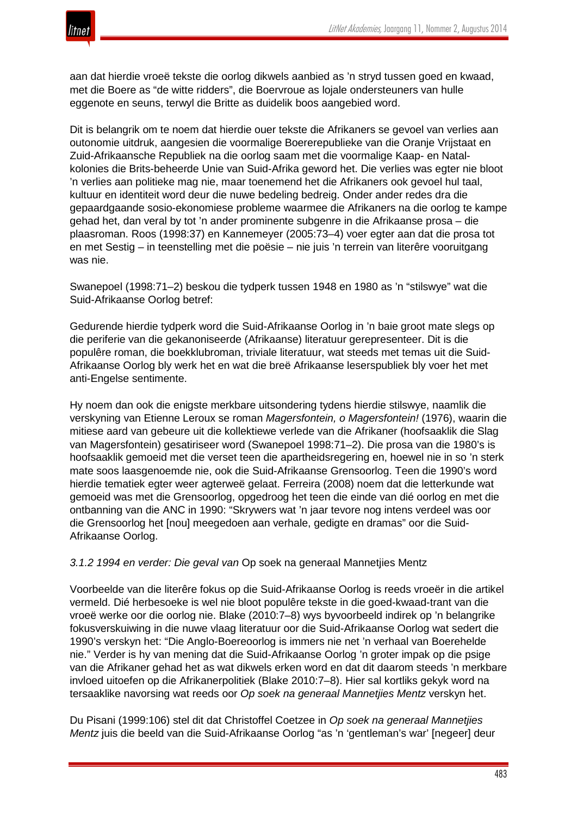

aan dat hierdie vroeë tekste die oorlog dikwels aanbied as 'n stryd tussen goed en kwaad, met die Boere as "de witte ridders", die Boervroue as lojale ondersteuners van hulle eggenote en seuns, terwyl die Britte as duidelik boos aangebied word.

Dit is belangrik om te noem dat hierdie ouer tekste die Afrikaners se gevoel van verlies aan outonomie uitdruk, aangesien die voormalige Boererepublieke van die Oranje Vrijstaat en Zuid-Afrikaansche Republiek na die oorlog saam met die voormalige Kaap- en Natalkolonies die Brits-beheerde Unie van Suid-Afrika geword het. Die verlies was egter nie bloot 'n verlies aan politieke mag nie, maar toenemend het die Afrikaners ook gevoel hul taal, kultuur en identiteit word deur die nuwe bedeling bedreig. Onder ander redes dra die gepaardgaande sosio-ekonomiese probleme waarmee die Afrikaners na die oorlog te kampe gehad het, dan veral by tot 'n ander prominente subgenre in die Afrikaanse prosa – die plaasroman. Roos (1998:37) en Kannemeyer (2005:73–4) voer egter aan dat die prosa tot en met Sestig – in teenstelling met die poësie – nie juis 'n terrein van literêre vooruitgang was nie.

Swanepoel (1998:71–2) beskou die tydperk tussen 1948 en 1980 as 'n "stilswye" wat die Suid-Afrikaanse Oorlog betref:

Gedurende hierdie tydperk word die Suid-Afrikaanse Oorlog in 'n baie groot mate slegs op die periferie van die gekanoniseerde (Afrikaanse) literatuur gerepresenteer. Dit is die populêre roman, die boekklubroman, triviale literatuur, wat steeds met temas uit die Suid-Afrikaanse Oorlog bly werk het en wat die breë Afrikaanse leserspubliek bly voer het met anti-Engelse sentimente.

Hy noem dan ook die enigste merkbare uitsondering tydens hierdie stilswye, naamlik die verskyning van Etienne Leroux se roman *Magersfontein, o Magersfontein!* (1976), waarin die mitiese aard van gebeure uit die kollektiewe verlede van die Afrikaner (hoofsaaklik die Slag van Magersfontein) gesatiriseer word (Swanepoel 1998:71–2). Die prosa van die 1980's is hoofsaaklik gemoeid met die verset teen die apartheidsregering en, hoewel nie in so 'n sterk mate soos laasgenoemde nie, ook die Suid-Afrikaanse Grensoorlog. Teen die 1990's word hierdie tematiek egter weer agterweë gelaat. Ferreira (2008) noem dat die letterkunde wat gemoeid was met die Grensoorlog, opgedroog het teen die einde van dié oorlog en met die ontbanning van die ANC in 1990: "Skrywers wat 'n jaar tevore nog intens verdeel was oor die Grensoorlog het [nou] meegedoen aan verhale, gedigte en dramas" oor die Suid-Afrikaanse Oorlog.

*3.1.2 1994 en verder: Die geval van* Op soek na generaal Mannetjies Mentz

Voorbeelde van die literêre fokus op die Suid-Afrikaanse Oorlog is reeds vroeër in die artikel vermeld. Dié herbesoeke is wel nie bloot populêre tekste in die goed-kwaad-trant van die vroeë werke oor die oorlog nie. Blake (2010:7–8) wys byvoorbeeld indirek op 'n belangrike fokusverskuiwing in die nuwe vlaag literatuur oor die Suid-Afrikaanse Oorlog wat sedert die 1990's verskyn het: "Die Anglo-Boereoorlog is immers nie net 'n verhaal van Boerehelde nie." Verder is hy van mening dat die Suid-Afrikaanse Oorlog 'n groter impak op die psige van die Afrikaner gehad het as wat dikwels erken word en dat dit daarom steeds 'n merkbare invloed uitoefen op die Afrikanerpolitiek (Blake 2010:7–8). Hier sal kortliks gekyk word na tersaaklike navorsing wat reeds oor *Op soek na generaal Mannetjies Mentz* verskyn het.

Du Pisani (1999:106) stel dit dat Christoffel Coetzee in *Op soek na generaal Mannetjies Mentz* juis die beeld van die Suid-Afrikaanse Oorlog "as 'n 'gentleman's war' [negeer] deur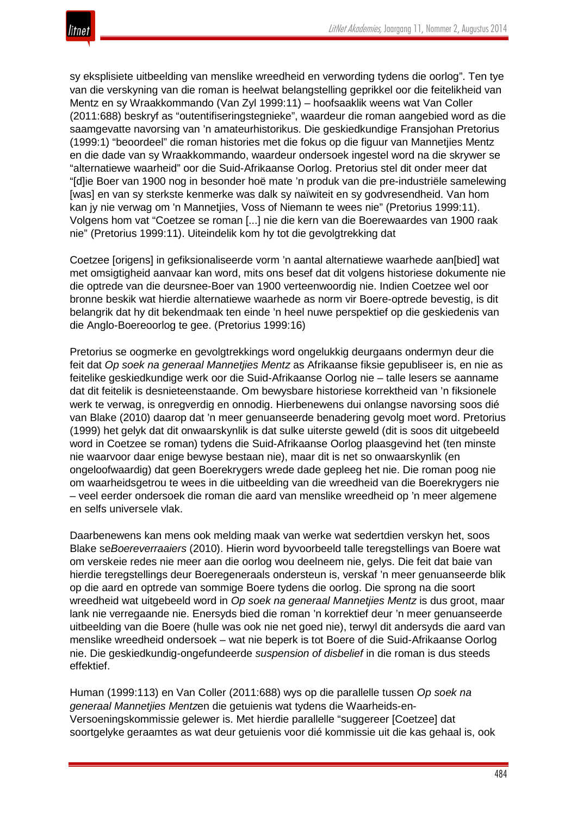

sy eksplisiete uitbeelding van menslike wreedheid en verwording tydens die oorlog". Ten tye van die verskyning van die roman is heelwat belangstelling geprikkel oor die feitelikheid van Mentz en sy Wraakkommando (Van Zyl 1999:11) – hoofsaaklik weens wat Van Coller (2011:688) beskryf as "outentifiseringstegnieke", waardeur die roman aangebied word as die saamgevatte navorsing van 'n amateurhistorikus. Die geskiedkundige Fransjohan Pretorius (1999:1) "beoordeel" die roman histories met die fokus op die figuur van Mannetjies Mentz en die dade van sy Wraakkommando, waardeur ondersoek ingestel word na die skrywer se "alternatiewe waarheid" oor die Suid-Afrikaanse Oorlog. Pretorius stel dit onder meer dat "[d]ie Boer van 1900 nog in besonder hoë mate 'n produk van die pre-industriële samelewing [was] en van sy sterkste kenmerke was dalk sy naïwiteit en sy godvresendheid. Van hom kan jy nie verwag om 'n Mannetjies, Voss of Niemann te wees nie" (Pretorius 1999:11). Volgens hom vat "Coetzee se roman [...] nie die kern van die Boerewaardes van 1900 raak nie" (Pretorius 1999:11). Uiteindelik kom hy tot die gevolgtrekking dat

Coetzee [origens] in gefiksionaliseerde vorm 'n aantal alternatiewe waarhede aan[bied] wat met omsigtigheid aanvaar kan word, mits ons besef dat dit volgens historiese dokumente nie die optrede van die deursnee-Boer van 1900 verteenwoordig nie. Indien Coetzee wel oor bronne beskik wat hierdie alternatiewe waarhede as norm vir Boere-optrede bevestig, is dit belangrik dat hy dit bekendmaak ten einde 'n heel nuwe perspektief op die geskiedenis van die Anglo-Boereoorlog te gee. (Pretorius 1999:16)

Pretorius se oogmerke en gevolgtrekkings word ongelukkig deurgaans ondermyn deur die feit dat *Op soek na generaal Mannetjies Mentz* as Afrikaanse fiksie gepubliseer is, en nie as feitelike geskiedkundige werk oor die Suid-Afrikaanse Oorlog nie – talle lesers se aanname dat dit feitelik is desnieteenstaande. Om bewysbare historiese korrektheid van 'n fiksionele werk te verwag, is onregverdig en onnodig. Hierbenewens dui onlangse navorsing soos dié van Blake (2010) daarop dat 'n meer genuanseerde benadering gevolg moet word. Pretorius (1999) het gelyk dat dit onwaarskynlik is dat sulke uiterste geweld (dit is soos dit uitgebeeld word in Coetzee se roman) tydens die Suid-Afrikaanse Oorlog plaasgevind het (ten minste nie waarvoor daar enige bewyse bestaan nie), maar dit is net so onwaarskynlik (en ongeloofwaardig) dat geen Boerekrygers wrede dade gepleeg het nie. Die roman poog nie om waarheidsgetrou te wees in die uitbeelding van die wreedheid van die Boerekrygers nie – veel eerder ondersoek die roman die aard van menslike wreedheid op 'n meer algemene en selfs universele vlak.

Daarbenewens kan mens ook melding maak van werke wat sedertdien verskyn het, soos Blake se*Boereverraaiers* (2010). Hierin word byvoorbeeld talle teregstellings van Boere wat om verskeie redes nie meer aan die oorlog wou deelneem nie, gelys. Die feit dat baie van hierdie teregstellings deur Boeregeneraals ondersteun is, verskaf 'n meer genuanseerde blik op die aard en optrede van sommige Boere tydens die oorlog. Die sprong na die soort wreedheid wat uitgebeeld word in *Op soek na generaal Mannetjies Mentz* is dus groot, maar lank nie verregaande nie. Enersyds bied die roman 'n korrektief deur 'n meer genuanseerde uitbeelding van die Boere (hulle was ook nie net goed nie), terwyl dit andersyds die aard van menslike wreedheid ondersoek – wat nie beperk is tot Boere of die Suid-Afrikaanse Oorlog nie. Die geskiedkundig-ongefundeerde *suspension of disbelief* in die roman is dus steeds effektief.

Human (1999:113) en Van Coller (2011:688) wys op die parallelle tussen *Op soek na generaal Mannetjies Mentz*en die getuienis wat tydens die Waarheids-en-Versoeningskommissie gelewer is. Met hierdie parallelle "suggereer [Coetzee] dat soortgelyke geraamtes as wat deur getuienis voor dié kommissie uit die kas gehaal is, ook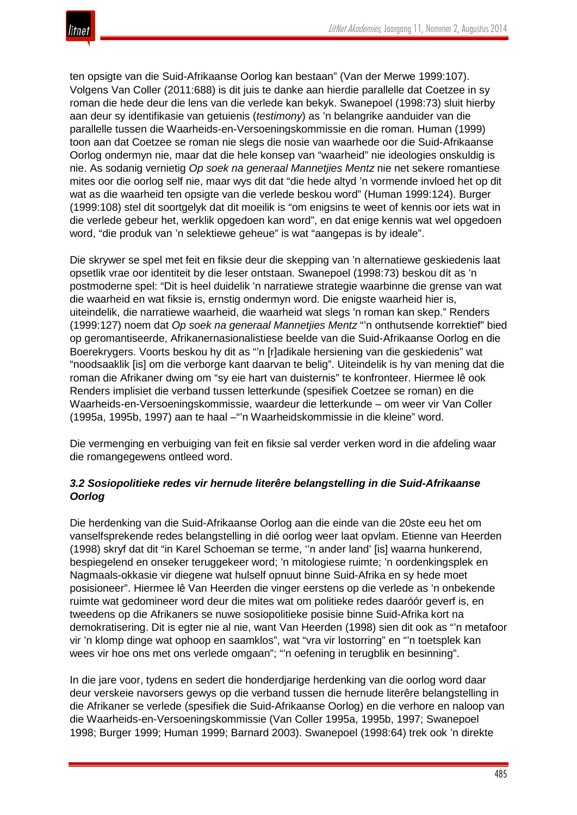

ten opsigte van die Suid-Afrikaanse Oorlog kan bestaan" (Van der Merwe 1999:107). Volgens Van Coller (2011:688) is dit juis te danke aan hierdie parallelle dat Coetzee in sy roman die hede deur die lens van die verlede kan bekyk. Swanepoel (1998:73) sluit hierby aan deur sy identifikasie van getuienis (*testimony*) as 'n belangrike aanduider van die parallelle tussen die Waarheids-en-Versoeningskommissie en die roman. Human (1999) toon aan dat Coetzee se roman nie slegs die nosie van waarhede oor die Suid-Afrikaanse Oorlog ondermyn nie, maar dat die hele konsep van "waarheid" nie ideologies onskuldig is nie. As sodanig vernietig *Op soek na generaal Mannetjies Mentz* nie net sekere romantiese mites oor die oorlog self nie, maar wys dit dat "die hede altyd 'n vormende invloed het op dit wat as die waarheid ten opsigte van die verlede beskou word" (Human 1999:124). Burger (1999:108) stel dit soortgelyk dat dit moeilik is "om enigsins te weet of kennis oor iets wat in die verlede gebeur het, werklik opgedoen kan word", en dat enige kennis wat wel opgedoen word, "die produk van 'n selektiewe geheue" is wat "aangepas is by ideale".

Die skrywer se spel met feit en fiksie deur die skepping van 'n alternatiewe geskiedenis laat opsetlik vrae oor identiteit by die leser ontstaan. Swanepoel (1998:73) beskou dít as 'n postmoderne spel: "Dit is heel duidelik 'n narratiewe strategie waarbinne die grense van wat die waarheid en wat fiksie is, ernstig ondermyn word. Die enigste waarheid hier is, uiteindelik, die narratiewe waarheid, die waarheid wat slegs 'n roman kan skep." Renders (1999:127) noem dat *Op soek na generaal Mannetjies Mentz* "'n onthutsende korrektief" bied op geromantiseerde, Afrikanernasionalistiese beelde van die Suid-Afrikaanse Oorlog en die Boerekrygers. Voorts beskou hy dit as "'n [r]adikale hersiening van die geskiedenis" wat "noodsaaklik [is] om die verborge kant daarvan te belig". Uiteindelik is hy van mening dat die roman die Afrikaner dwing om "sy eie hart van duisternis" te konfronteer. Hiermee lê ook Renders implisiet die verband tussen letterkunde (spesifiek Coetzee se roman) en die Waarheids-en-Versoeningskommissie, waardeur die letterkunde – om weer vir Van Coller (1995a, 1995b, 1997) aan te haal –"'n Waarheidskommissie in die kleine" word.

Die vermenging en verbuiging van feit en fiksie sal verder verken word in die afdeling waar die romangegewens ontleed word.

# *3.2 Sosiopolitieke redes vir hernude literêre belangstelling in die Suid-Afrikaanse Oorlog*

Die herdenking van die Suid-Afrikaanse Oorlog aan die einde van die 20ste eeu het om vanselfsprekende redes belangstelling in dié oorlog weer laat opvlam. Etienne van Heerden (1998) skryf dat dit "in Karel Schoeman se terme, ''n ander land' [is] waarna hunkerend, bespiegelend en onseker teruggekeer word; 'n mitologiese ruimte; 'n oordenkingsplek en Nagmaals-okkasie vir diegene wat hulself opnuut binne Suid-Afrika en sy hede moet posisioneer". Hiermee lê Van Heerden die vinger eerstens op die verlede as 'n onbekende ruimte wat gedomineer word deur die mites wat om politieke redes daaróór geverf is, en tweedens op die Afrikaners se nuwe sosiopolitieke posisie binne Suid-Afrika kort na demokratisering. Dit is egter nie al nie, want Van Heerden (1998) sien dit ook as "'n metafoor vir 'n klomp dinge wat ophoop en saamklos", wat "vra vir lostorring" en "'n toetsplek kan wees vir hoe ons met ons verlede omgaan"; "'n oefening in terugblik en besinning".

In die jare voor, tydens en sedert die honderdjarige herdenking van die oorlog word daar deur verskeie navorsers gewys op die verband tussen die hernude literêre belangstelling in die Afrikaner se verlede (spesifiek die Suid-Afrikaanse Oorlog) en die verhore en naloop van die Waarheids-en-Versoeningskommissie (Van Coller 1995a, 1995b, 1997; Swanepoel 1998; Burger 1999; Human 1999; Barnard 2003). Swanepoel (1998:64) trek ook 'n direkte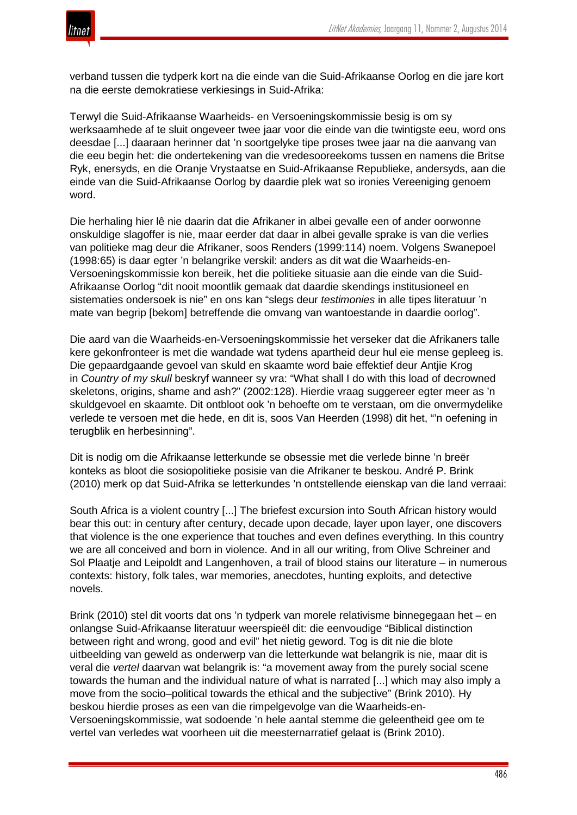

verband tussen die tydperk kort na die einde van die Suid-Afrikaanse Oorlog en die jare kort na die eerste demokratiese verkiesings in Suid-Afrika:

Terwyl die Suid-Afrikaanse Waarheids- en Versoeningskommissie besig is om sy werksaamhede af te sluit ongeveer twee jaar voor die einde van die twintigste eeu, word ons deesdae [...] daaraan herinner dat 'n soortgelyke tipe proses twee jaar na die aanvang van die eeu begin het: die ondertekening van die vredesooreekoms tussen en namens die Britse Ryk, enersyds, en die Oranje Vrystaatse en Suid-Afrikaanse Republieke, andersyds, aan die einde van die Suid-Afrikaanse Oorlog by daardie plek wat so ironies Vereeniging genoem word.

Die herhaling hier lê nie daarin dat die Afrikaner in albei gevalle een of ander oorwonne onskuldige slagoffer is nie, maar eerder dat daar in albei gevalle sprake is van die verlies van politieke mag deur die Afrikaner, soos Renders (1999:114) noem. Volgens Swanepoel (1998:65) is daar egter 'n belangrike verskil: anders as dit wat die Waarheids-en-Versoeningskommissie kon bereik, het die politieke situasie aan die einde van die Suid-Afrikaanse Oorlog "dit nooit moontlik gemaak dat daardie skendings institusioneel en sistematies ondersoek is nie" en ons kan "slegs deur *testimonies* in alle tipes literatuur 'n mate van begrip [bekom] betreffende die omvang van wantoestande in daardie oorlog".

Die aard van die Waarheids-en-Versoeningskommissie het verseker dat die Afrikaners talle kere gekonfronteer is met die wandade wat tydens apartheid deur hul eie mense gepleeg is. Die gepaardgaande gevoel van skuld en skaamte word baie effektief deur Antjie Krog in *Country of my skull* beskryf wanneer sy vra: "What shall I do with this load of decrowned skeletons, origins, shame and ash?" (2002:128). Hierdie vraag suggereer egter meer as 'n skuldgevoel en skaamte. Dit ontbloot ook 'n behoefte om te verstaan, om die onvermydelike verlede te versoen met die hede, en dit is, soos Van Heerden (1998) dit het, "'n oefening in terugblik en herbesinning".

Dit is nodig om die Afrikaanse letterkunde se obsessie met die verlede binne 'n breër konteks as bloot die sosiopolitieke posisie van die Afrikaner te beskou. André P. Brink (2010) merk op dat Suid-Afrika se letterkundes 'n ontstellende eienskap van die land verraai:

South Africa is a violent country [...] The briefest excursion into South African history would bear this out: in century after century, decade upon decade, layer upon layer, one discovers that violence is the one experience that touches and even defines everything. In this country we are all conceived and born in violence. And in all our writing, from Olive Schreiner and Sol Plaatje and Leipoldt and Langenhoven, a trail of blood stains our literature – in numerous contexts: history, folk tales, war memories, anecdotes, hunting exploits, and detective novels.

Brink (2010) stel dit voorts dat ons 'n tydperk van morele relativisme binnegegaan het – en onlangse Suid-Afrikaanse literatuur weerspieël dit: die eenvoudige "Biblical distinction between right and wrong, good and evil" het nietig geword. Tog is dit nie die blote uitbeelding van geweld as onderwerp van die letterkunde wat belangrik is nie, maar dit is veral die *vertel* daarvan wat belangrik is: "a movement away from the purely social scene towards the human and the individual nature of what is narrated [...] which may also imply a move from the socio–political towards the ethical and the subjective" (Brink 2010). Hy beskou hierdie proses as een van die rimpelgevolge van die Waarheids-en-Versoeningskommissie, wat sodoende 'n hele aantal stemme die geleentheid gee om te vertel van verledes wat voorheen uit die meesternarratief gelaat is (Brink 2010).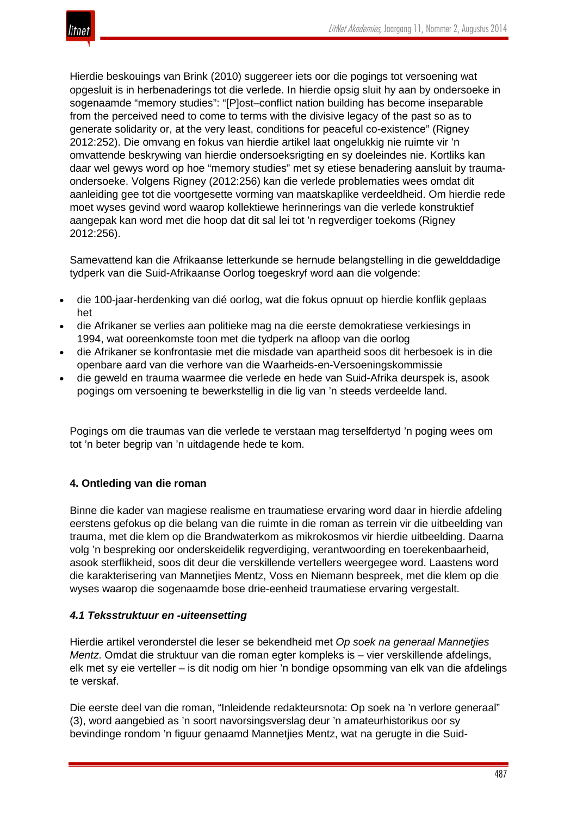

Hierdie beskouings van Brink (2010) suggereer iets oor die pogings tot versoening wat opgesluit is in herbenaderings tot die verlede. In hierdie opsig sluit hy aan by ondersoeke in sogenaamde "memory studies": "[P]ost–conflict nation building has become inseparable from the perceived need to come to terms with the divisive legacy of the past so as to generate solidarity or, at the very least, conditions for peaceful co-existence" (Rigney 2012:252). Die omvang en fokus van hierdie artikel laat ongelukkig nie ruimte vir 'n omvattende beskrywing van hierdie ondersoeksrigting en sy doeleindes nie. Kortliks kan daar wel gewys word op hoe "memory studies" met sy etiese benadering aansluit by traumaondersoeke. Volgens Rigney (2012:256) kan die verlede problematies wees omdat dit aanleiding gee tot die voortgesette vorming van maatskaplike verdeeldheid. Om hierdie rede moet wyses gevind word waarop kollektiewe herinnerings van die verlede konstruktief aangepak kan word met die hoop dat dit sal lei tot 'n regverdiger toekoms (Rigney 2012:256).

Samevattend kan die Afrikaanse letterkunde se hernude belangstelling in die gewelddadige tydperk van die Suid-Afrikaanse Oorlog toegeskryf word aan die volgende:

- die 100-jaar-herdenking van dié oorlog, wat die fokus opnuut op hierdie konflik geplaas het
- die Afrikaner se verlies aan politieke mag na die eerste demokratiese verkiesings in 1994, wat ooreenkomste toon met die tydperk na afloop van die oorlog
- die Afrikaner se konfrontasie met die misdade van apartheid soos dit herbesoek is in die openbare aard van die verhore van die Waarheids-en-Versoeningskommissie
- die geweld en trauma waarmee die verlede en hede van Suid-Afrika deurspek is, asook pogings om versoening te bewerkstellig in die lig van 'n steeds verdeelde land.

Pogings om die traumas van die verlede te verstaan mag terselfdertyd 'n poging wees om tot 'n beter begrip van 'n uitdagende hede te kom.

# **4. Ontleding van die roman**

Binne die kader van magiese realisme en traumatiese ervaring word daar in hierdie afdeling eerstens gefokus op die belang van die ruimte in die roman as terrein vir die uitbeelding van trauma, met die klem op die Brandwaterkom as mikrokosmos vir hierdie uitbeelding. Daarna volg 'n bespreking oor onderskeidelik regverdiging, verantwoording en toerekenbaarheid, asook sterflikheid, soos dit deur die verskillende vertellers weergegee word. Laastens word die karakterisering van Mannetjies Mentz, Voss en Niemann bespreek, met die klem op die wyses waarop die sogenaamde bose drie-eenheid traumatiese ervaring vergestalt.

## *4.1 Teksstruktuur en -uiteensetting*

Hierdie artikel veronderstel die leser se bekendheid met *Op soek na generaal Mannetjies Mentz*. Omdat die struktuur van die roman egter kompleks is – vier verskillende afdelings, elk met sy eie verteller – is dit nodig om hier 'n bondige opsomming van elk van die afdelings te verskaf.

Die eerste deel van die roman, "Inleidende redakteursnota: Op soek na 'n verlore generaal" (3), word aangebied as 'n soort navorsingsverslag deur 'n amateurhistorikus oor sy bevindinge rondom 'n figuur genaamd Mannetjies Mentz, wat na gerugte in die Suid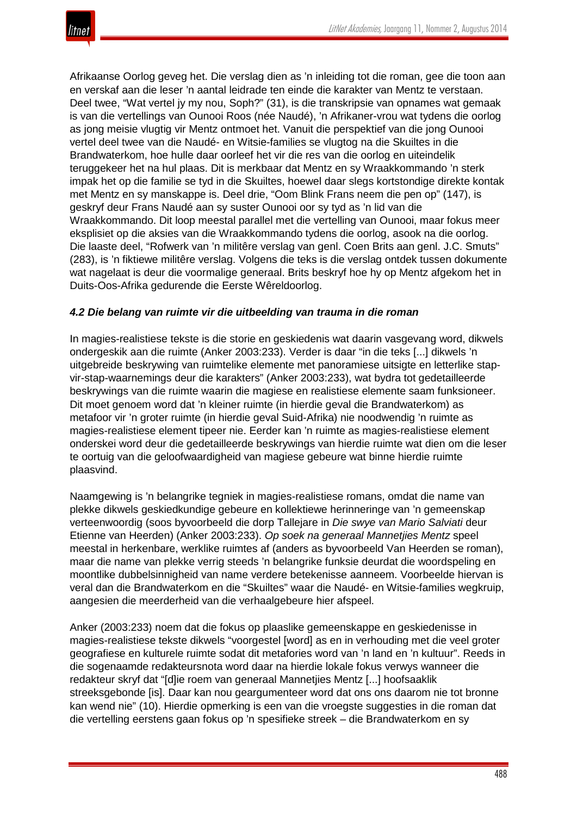Afrikaanse Oorlog geveg het. Die verslag dien as 'n inleiding tot die roman, gee die toon aan en verskaf aan die leser 'n aantal leidrade ten einde die karakter van Mentz te verstaan. Deel twee, "Wat vertel jy my nou, Soph?" (31), is die transkripsie van opnames wat gemaak is van die vertellings van Ounooi Roos (née Naudé), 'n Afrikaner-vrou wat tydens die oorlog as jong meisie vlugtig vir Mentz ontmoet het. Vanuit die perspektief van die jong Ounooi vertel deel twee van die Naudé- en Witsie-families se vlugtog na die Skuiltes in die Brandwaterkom, hoe hulle daar oorleef het vir die res van die oorlog en uiteindelik teruggekeer het na hul plaas. Dit is merkbaar dat Mentz en sy Wraakkommando 'n sterk impak het op die familie se tyd in die Skuiltes, hoewel daar slegs kortstondige direkte kontak met Mentz en sy manskappe is. Deel drie, "Oom Blink Frans neem die pen op" (147), is geskryf deur Frans Naudé aan sy suster Ounooi oor sy tyd as 'n lid van die Wraakkommando. Dit loop meestal parallel met die vertelling van Ounooi, maar fokus meer eksplisiet op die aksies van die Wraakkommando tydens die oorlog, asook na die oorlog. Die laaste deel, "Rofwerk van 'n militêre verslag van genl. Coen Brits aan genl. J.C. Smuts" (283), is 'n fiktiewe militêre verslag. Volgens die teks is die verslag ontdek tussen dokumente wat nagelaat is deur die voormalige generaal. Brits beskryf hoe hy op Mentz afgekom het in Duits-Oos-Afrika gedurende die Eerste Wêreldoorlog.

## *4.2 Die belang van ruimte vir die uitbeelding van trauma in die roman*

In magies-realistiese tekste is die storie en geskiedenis wat daarin vasgevang word, dikwels ondergeskik aan die ruimte (Anker 2003:233). Verder is daar "in die teks [...] dikwels 'n uitgebreide beskrywing van ruimtelike elemente met panoramiese uitsigte en letterlike stapvir-stap-waarnemings deur die karakters" (Anker 2003:233), wat bydra tot gedetailleerde beskrywings van die ruimte waarin die magiese en realistiese elemente saam funksioneer. Dit moet genoem word dat 'n kleiner ruimte (in hierdie geval die Brandwaterkom) as metafoor vir 'n groter ruimte (in hierdie geval Suid-Afrika) nie noodwendig 'n ruimte as magies-realistiese element tipeer nie. Eerder kan 'n ruimte as magies-realistiese element onderskei word deur die gedetailleerde beskrywings van hierdie ruimte wat dien om die leser te oortuig van die geloofwaardigheid van magiese gebeure wat binne hierdie ruimte plaasvind.

Naamgewing is 'n belangrike tegniek in magies-realistiese romans, omdat die name van plekke dikwels geskiedkundige gebeure en kollektiewe herinneringe van 'n gemeenskap verteenwoordig (soos byvoorbeeld die dorp Tallejare in *Die swye van Mario Salviati* deur Etienne van Heerden) (Anker 2003:233). *Op soek na generaal Mannetjies Mentz* speel meestal in herkenbare, werklike ruimtes af (anders as byvoorbeeld Van Heerden se roman), maar die name van plekke verrig steeds 'n belangrike funksie deurdat die woordspeling en moontlike dubbelsinnigheid van name verdere betekenisse aanneem. Voorbeelde hiervan is veral dan die Brandwaterkom en die "Skuiltes" waar die Naudé- en Witsie-families wegkruip, aangesien die meerderheid van die verhaalgebeure hier afspeel.

Anker (2003:233) noem dat die fokus op plaaslike gemeenskappe en geskiedenisse in magies-realistiese tekste dikwels "voorgestel [word] as en in verhouding met die veel groter geografiese en kulturele ruimte sodat dit metafories word van 'n land en 'n kultuur". Reeds in die sogenaamde redakteursnota word daar na hierdie lokale fokus verwys wanneer die redakteur skryf dat "[d]ie roem van generaal Mannetjies Mentz [...] hoofsaaklik streeksgebonde [is]. Daar kan nou geargumenteer word dat ons ons daarom nie tot bronne kan wend nie" (10). Hierdie opmerking is een van die vroegste suggesties in die roman dat die vertelling eerstens gaan fokus op 'n spesifieke streek – die Brandwaterkom en sy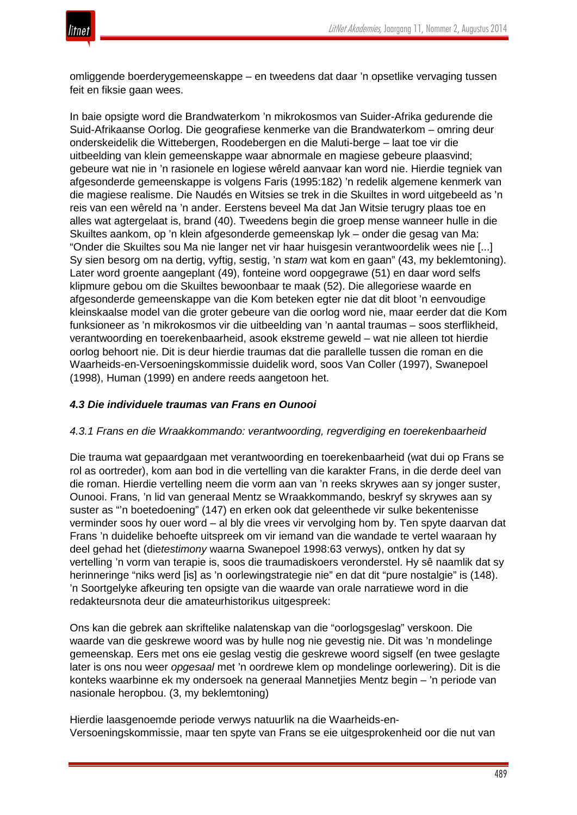

omliggende boerderygemeenskappe – en tweedens dat daar 'n opsetlike vervaging tussen feit en fiksie gaan wees.

In baie opsigte word die Brandwaterkom 'n mikrokosmos van Suider-Afrika gedurende die Suid-Afrikaanse Oorlog. Die geografiese kenmerke van die Brandwaterkom – omring deur onderskeidelik die Wittebergen, Roodebergen en die Maluti-berge – laat toe vir die uitbeelding van klein gemeenskappe waar abnormale en magiese gebeure plaasvind; gebeure wat nie in 'n rasionele en logiese wêreld aanvaar kan word nie. Hierdie tegniek van afgesonderde gemeenskappe is volgens Faris (1995:182) 'n redelik algemene kenmerk van die magiese realisme. Die Naudés en Witsies se trek in die Skuiltes in word uitgebeeld as 'n reis van een wêreld na 'n ander. Eerstens beveel Ma dat Jan Witsie terugry plaas toe en alles wat agtergelaat is, brand (40). Tweedens begin die groep mense wanneer hulle in die Skuiltes aankom, op 'n klein afgesonderde gemeenskap lyk – onder die gesag van Ma: "Onder die Skuiltes sou Ma nie langer net vir haar huisgesin verantwoordelik wees nie [...] Sy sien besorg om na dertig, vyftig, sestig, 'n *stam* wat kom en gaan" (43, my beklemtoning). Later word groente aangeplant (49), fonteine word oopgegrawe (51) en daar word selfs klipmure gebou om die Skuiltes bewoonbaar te maak (52). Die allegoriese waarde en afgesonderde gemeenskappe van die Kom beteken egter nie dat dit bloot 'n eenvoudige kleinskaalse model van die groter gebeure van die oorlog word nie, maar eerder dat die Kom funksioneer as 'n mikrokosmos vir die uitbeelding van 'n aantal traumas – soos sterflikheid, verantwoording en toerekenbaarheid, asook ekstreme geweld – wat nie alleen tot hierdie oorlog behoort nie. Dit is deur hierdie traumas dat die parallelle tussen die roman en die Waarheids-en-Versoeningskommissie duidelik word, soos Van Coller (1997), Swanepoel (1998), Human (1999) en andere reeds aangetoon het.

### *4.3 Die individuele traumas van Frans en Ounooi*

#### *4.3.1 Frans en die Wraakkommando: verantwoording, regverdiging en toerekenbaarheid*

Die trauma wat gepaardgaan met verantwoording en toerekenbaarheid (wat dui op Frans se rol as oortreder), kom aan bod in die vertelling van die karakter Frans, in die derde deel van die roman. Hierdie vertelling neem die vorm aan van 'n reeks skrywes aan sy jonger suster, Ounooi. Frans, 'n lid van generaal Mentz se Wraakkommando, beskryf sy skrywes aan sy suster as "'n boetedoening" (147) en erken ook dat geleenthede vir sulke bekentenisse verminder soos hy ouer word – al bly die vrees vir vervolging hom by. Ten spyte daarvan dat Frans 'n duidelike behoefte uitspreek om vir iemand van die wandade te vertel waaraan hy deel gehad het (die*testimony* waarna Swanepoel 1998:63 verwys), ontken hy dat sy vertelling 'n vorm van terapie is, soos die traumadiskoers veronderstel. Hy sê naamlik dat sy herinneringe "niks werd [is] as 'n oorlewingstrategie nie" en dat dit "pure nostalgie" is (148). 'n Soortgelyke afkeuring ten opsigte van die waarde van orale narratiewe word in die redakteursnota deur die amateurhistorikus uitgespreek:

Ons kan die gebrek aan skriftelike nalatenskap van die "oorlogsgeslag" verskoon. Die waarde van die geskrewe woord was by hulle nog nie gevestig nie. Dit was 'n mondelinge gemeenskap. Eers met ons eie geslag vestig die geskrewe woord sigself (en twee geslagte later is ons nou weer *opgesaal* met 'n oordrewe klem op mondelinge oorlewering). Dit is die konteks waarbinne ek my ondersoek na generaal Mannetjies Mentz begin – 'n periode van nasionale heropbou. (3, my beklemtoning)

Hierdie laasgenoemde periode verwys natuurlik na die Waarheids-en-Versoeningskommissie, maar ten spyte van Frans se eie uitgesprokenheid oor die nut van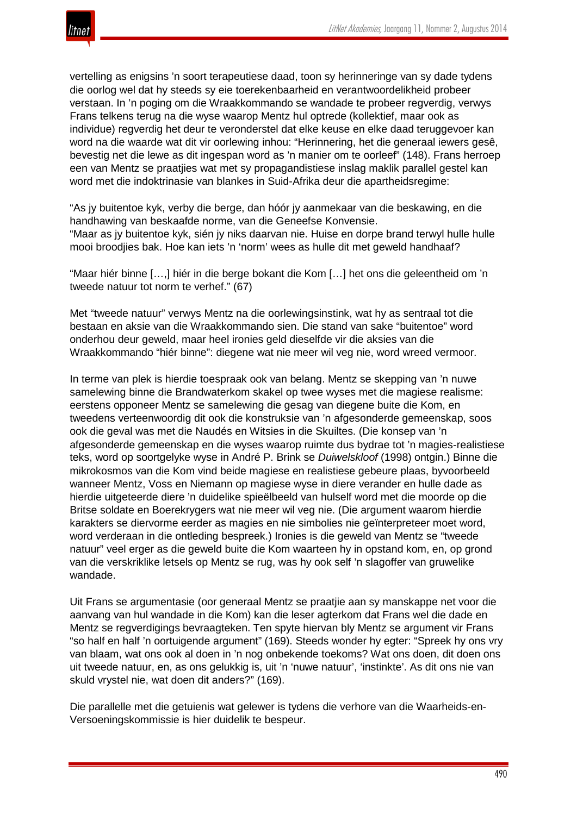

vertelling as enigsins 'n soort terapeutiese daad, toon sy herinneringe van sy dade tydens die oorlog wel dat hy steeds sy eie toerekenbaarheid en verantwoordelikheid probeer verstaan. In 'n poging om die Wraakkommando se wandade te probeer regverdig, verwys Frans telkens terug na die wyse waarop Mentz hul optrede (kollektief, maar ook as individue) regverdig het deur te veronderstel dat elke keuse en elke daad teruggevoer kan word na die waarde wat dit vir oorlewing inhou: "Herinnering, het die generaal iewers gesê, bevestig net die lewe as dit ingespan word as 'n manier om te oorleef" (148). Frans herroep een van Mentz se praatjies wat met sy propagandistiese inslag maklik parallel gestel kan word met die indoktrinasie van blankes in Suid-Afrika deur die apartheidsregime:

"As jy buitentoe kyk, verby die berge, dan hóór jy aanmekaar van die beskawing, en die handhawing van beskaafde norme, van die Geneefse Konvensie. "Maar as jy buitentoe kyk, sién jy niks daarvan nie. Huise en dorpe brand terwyl hulle hulle mooi broodjies bak. Hoe kan iets 'n 'norm' wees as hulle dit met geweld handhaaf?

"Maar hiér binne […,] hiér in die berge bokant die Kom […] het ons die geleentheid om 'n tweede natuur tot norm te verhef." (67)

Met "tweede natuur" verwys Mentz na die oorlewingsinstink, wat hy as sentraal tot die bestaan en aksie van die Wraakkommando sien. Die stand van sake "buitentoe" word onderhou deur geweld, maar heel ironies geld dieselfde vir die aksies van die Wraakkommando "hiér binne": diegene wat nie meer wil veg nie, word wreed vermoor.

In terme van plek is hierdie toespraak ook van belang. Mentz se skepping van 'n nuwe samelewing binne die Brandwaterkom skakel op twee wyses met die magiese realisme: eerstens opponeer Mentz se samelewing die gesag van diegene buite die Kom, en tweedens verteenwoordig dit ook die konstruksie van 'n afgesonderde gemeenskap, soos ook die geval was met die Naudés en Witsies in die Skuiltes. (Die konsep van 'n afgesonderde gemeenskap en die wyses waarop ruimte dus bydrae tot 'n magies-realistiese teks, word op soortgelyke wyse in André P. Brink se *Duiwelskloof* (1998) ontgin.) Binne die mikrokosmos van die Kom vind beide magiese en realistiese gebeure plaas, byvoorbeeld wanneer Mentz, Voss en Niemann op magiese wyse in diere verander en hulle dade as hierdie uitgeteerde diere 'n duidelike spieëlbeeld van hulself word met die moorde op die Britse soldate en Boerekrygers wat nie meer wil veg nie. (Die argument waarom hierdie karakters se diervorme eerder as magies en nie simbolies nie geïnterpreteer moet word, word verderaan in die ontleding bespreek.) Ironies is die geweld van Mentz se "tweede natuur" veel erger as die geweld buite die Kom waarteen hy in opstand kom, en, op grond van die verskriklike letsels op Mentz se rug, was hy ook self 'n slagoffer van gruwelike wandade.

Uit Frans se argumentasie (oor generaal Mentz se praatjie aan sy manskappe net voor die aanvang van hul wandade in die Kom) kan die leser agterkom dat Frans wel die dade en Mentz se regverdigings bevraagteken. Ten spyte hiervan bly Mentz se argument vir Frans "so half en half 'n oortuigende argument" (169). Steeds wonder hy egter: "Spreek hy ons vry van blaam, wat ons ook al doen in 'n nog onbekende toekoms? Wat ons doen, dit doen ons uit tweede natuur, en, as ons gelukkig is, uit 'n 'nuwe natuur', 'instinkte'. As dit ons nie van skuld vrystel nie, wat doen dit anders?" (169).

Die parallelle met die getuienis wat gelewer is tydens die verhore van die Waarheids-en-Versoeningskommissie is hier duidelik te bespeur.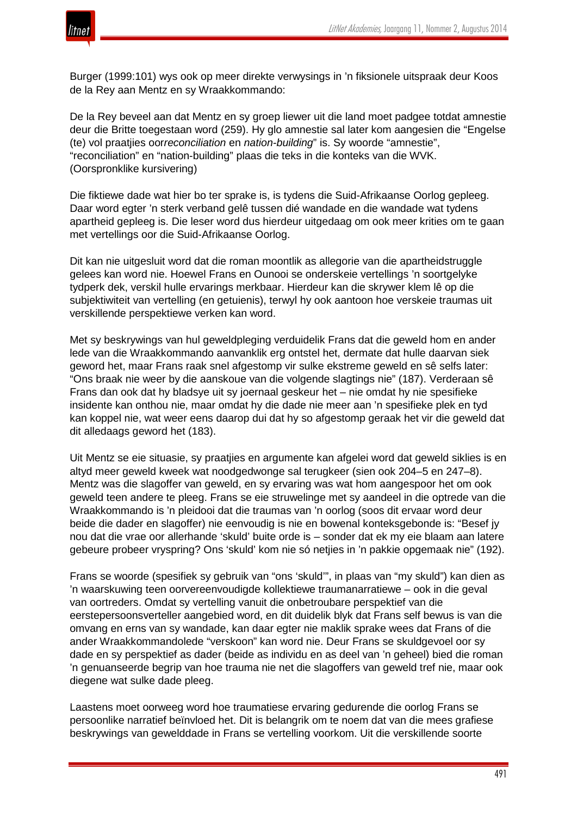

Burger (1999:101) wys ook op meer direkte verwysings in 'n fiksionele uitspraak deur Koos de la Rey aan Mentz en sy Wraakkommando:

De la Rey beveel aan dat Mentz en sy groep liewer uit die land moet padgee totdat amnestie deur die Britte toegestaan word (259). Hy glo amnestie sal later kom aangesien die "Engelse (te) vol praatjies oor*reconciliation* en *nation-building*" is. Sy woorde "amnestie", "reconciliation" en "nation-building" plaas die teks in die konteks van die WVK. (Oorspronklike kursivering)

Die fiktiewe dade wat hier bo ter sprake is, is tydens die Suid-Afrikaanse Oorlog gepleeg. Daar word egter 'n sterk verband gelê tussen dié wandade en die wandade wat tydens apartheid gepleeg is. Die leser word dus hierdeur uitgedaag om ook meer krities om te gaan met vertellings oor die Suid-Afrikaanse Oorlog.

Dit kan nie uitgesluit word dat die roman moontlik as allegorie van die apartheidstruggle gelees kan word nie. Hoewel Frans en Ounooi se onderskeie vertellings 'n soortgelyke tydperk dek, verskil hulle ervarings merkbaar. Hierdeur kan die skrywer klem lê op die subjektiwiteit van vertelling (en getuienis), terwyl hy ook aantoon hoe verskeie traumas uit verskillende perspektiewe verken kan word.

Met sy beskrywings van hul geweldpleging verduidelik Frans dat die geweld hom en ander lede van die Wraakkommando aanvanklik erg ontstel het, dermate dat hulle daarvan siek geword het, maar Frans raak snel afgestomp vir sulke ekstreme geweld en sê selfs later: "Ons braak nie weer by die aanskoue van die volgende slagtings nie" (187). Verderaan sê Frans dan ook dat hy bladsye uit sy joernaal geskeur het – nie omdat hy nie spesifieke insidente kan onthou nie, maar omdat hy die dade nie meer aan 'n spesifieke plek en tyd kan koppel nie, wat weer eens daarop dui dat hy so afgestomp geraak het vir die geweld dat dit alledaags geword het (183).

Uit Mentz se eie situasie, sy praatjies en argumente kan afgelei word dat geweld siklies is en altyd meer geweld kweek wat noodgedwonge sal terugkeer (sien ook 204–5 en 247–8). Mentz was die slagoffer van geweld, en sy ervaring was wat hom aangespoor het om ook geweld teen andere te pleeg. Frans se eie struwelinge met sy aandeel in die optrede van die Wraakkommando is 'n pleidooi dat die traumas van 'n oorlog (soos dit ervaar word deur beide die dader en slagoffer) nie eenvoudig is nie en bowenal konteksgebonde is: "Besef jy nou dat die vrae oor allerhande 'skuld' buite orde is – sonder dat ek my eie blaam aan latere gebeure probeer vryspring? Ons 'skuld' kom nie só netjies in 'n pakkie opgemaak nie" (192).

Frans se woorde (spesifiek sy gebruik van "ons 'skuld'", in plaas van "my skuld") kan dien as 'n waarskuwing teen oorvereenvoudigde kollektiewe traumanarratiewe – ook in die geval van oortreders. Omdat sy vertelling vanuit die onbetroubare perspektief van die eerstepersoonsverteller aangebied word, en dit duidelik blyk dat Frans self bewus is van die omvang en erns van sy wandade, kan daar egter nie maklik sprake wees dat Frans of die ander Wraakkommandolede "verskoon" kan word nie. Deur Frans se skuldgevoel oor sy dade en sy perspektief as dader (beide as individu en as deel van 'n geheel) bied die roman 'n genuanseerde begrip van hoe trauma nie net die slagoffers van geweld tref nie, maar ook diegene wat sulke dade pleeg.

Laastens moet oorweeg word hoe traumatiese ervaring gedurende die oorlog Frans se persoonlike narratief beïnvloed het. Dit is belangrik om te noem dat van die mees grafiese beskrywings van gewelddade in Frans se vertelling voorkom. Uit die verskillende soorte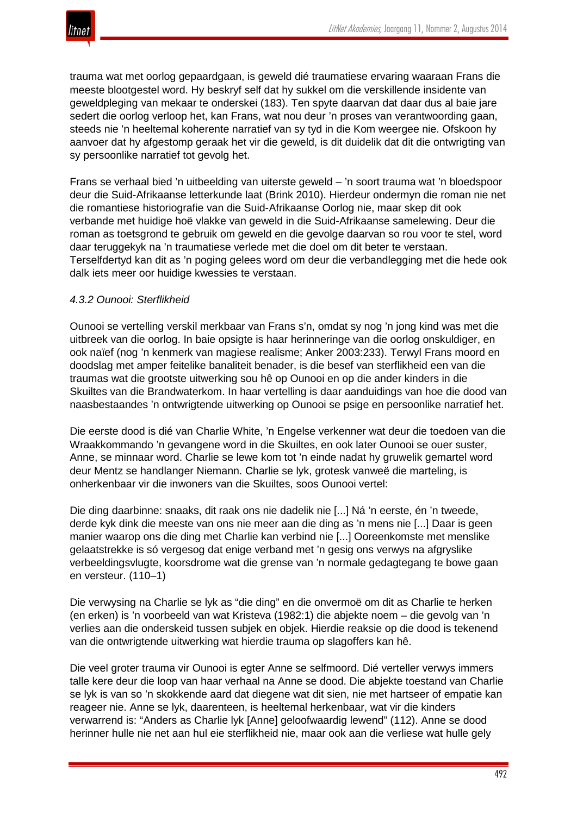

trauma wat met oorlog gepaardgaan, is geweld dié traumatiese ervaring waaraan Frans die meeste blootgestel word. Hy beskryf self dat hy sukkel om die verskillende insidente van geweldpleging van mekaar te onderskei (183). Ten spyte daarvan dat daar dus al baie jare sedert die oorlog verloop het, kan Frans, wat nou deur 'n proses van verantwoording gaan, steeds nie 'n heeltemal koherente narratief van sy tyd in die Kom weergee nie. Ofskoon hy aanvoer dat hy afgestomp geraak het vir die geweld, is dit duidelik dat dit die ontwrigting van sy persoonlike narratief tot gevolg het.

Frans se verhaal bied 'n uitbeelding van uiterste geweld – 'n soort trauma wat 'n bloedspoor deur die Suid-Afrikaanse letterkunde laat (Brink 2010). Hierdeur ondermyn die roman nie net die romantiese historiografie van die Suid-Afrikaanse Oorlog nie, maar skep dit ook verbande met huidige hoë vlakke van geweld in die Suid-Afrikaanse samelewing. Deur die roman as toetsgrond te gebruik om geweld en die gevolge daarvan so rou voor te stel, word daar teruggekyk na 'n traumatiese verlede met die doel om dit beter te verstaan. Terselfdertyd kan dit as 'n poging gelees word om deur die verbandlegging met die hede ook dalk iets meer oor huidige kwessies te verstaan.

## *4.3.2 Ounooi: Sterflikheid*

Ounooi se vertelling verskil merkbaar van Frans s'n, omdat sy nog 'n jong kind was met die uitbreek van die oorlog. In baie opsigte is haar herinneringe van die oorlog onskuldiger, en ook naïef (nog 'n kenmerk van magiese realisme; Anker 2003:233). Terwyl Frans moord en doodslag met amper feitelike banaliteit benader, is die besef van sterflikheid een van die traumas wat die grootste uitwerking sou hê op Ounooi en op die ander kinders in die Skuiltes van die Brandwaterkom. In haar vertelling is daar aanduidings van hoe die dood van naasbestaandes 'n ontwrigtende uitwerking op Ounooi se psige en persoonlike narratief het.

Die eerste dood is dié van Charlie White, 'n Engelse verkenner wat deur die toedoen van die Wraakkommando 'n gevangene word in die Skuiltes, en ook later Ounooi se ouer suster, Anne, se minnaar word. Charlie se lewe kom tot 'n einde nadat hy gruwelik gemartel word deur Mentz se handlanger Niemann. Charlie se lyk, grotesk vanweë die marteling, is onherkenbaar vir die inwoners van die Skuiltes, soos Ounooi vertel:

Die ding daarbinne: snaaks, dit raak ons nie dadelik nie [...] Ná 'n eerste, én 'n tweede, derde kyk dink die meeste van ons nie meer aan die ding as 'n mens nie [...] Daar is geen manier waarop ons die ding met Charlie kan verbind nie [...] Ooreenkomste met menslike gelaatstrekke is só vergesog dat enige verband met 'n gesig ons verwys na afgryslike verbeeldingsvlugte, koorsdrome wat die grense van 'n normale gedagtegang te bowe gaan en versteur. (110–1)

Die verwysing na Charlie se lyk as "die ding" en die onvermoë om dit as Charlie te herken (en erken) is 'n voorbeeld van wat Kristeva (1982:1) die abjekte noem – die gevolg van 'n verlies aan die onderskeid tussen subjek en objek. Hierdie reaksie op die dood is tekenend van die ontwrigtende uitwerking wat hierdie trauma op slagoffers kan hê.

Die veel groter trauma vir Ounooi is egter Anne se selfmoord. Dié verteller verwys immers talle kere deur die loop van haar verhaal na Anne se dood. Die abjekte toestand van Charlie se lyk is van so 'n skokkende aard dat diegene wat dit sien, nie met hartseer of empatie kan reageer nie. Anne se lyk, daarenteen, is heeltemal herkenbaar, wat vir die kinders verwarrend is: "Anders as Charlie lyk [Anne] geloofwaardig lewend" (112). Anne se dood herinner hulle nie net aan hul eie sterflikheid nie, maar ook aan die verliese wat hulle gely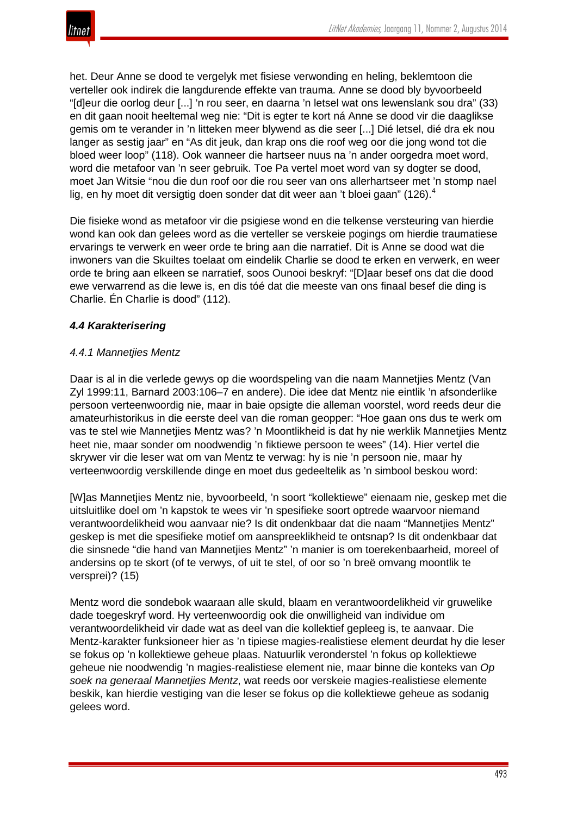

het. Deur Anne se dood te vergelyk met fisiese verwonding en heling, beklemtoon die verteller ook indirek die langdurende effekte van trauma. Anne se dood bly byvoorbeeld "[d]eur die oorlog deur [...] 'n rou seer, en daarna 'n letsel wat ons lewenslank sou dra" (33) en dit gaan nooit heeltemal weg nie: "Dit is egter te kort ná Anne se dood vir die daaglikse gemis om te verander in 'n litteken meer blywend as die seer [...] Dié letsel, dié dra ek nou langer as sestig jaar" en "As dit jeuk, dan krap ons die roof weg oor die jong wond tot die bloed weer loop" (118). Ook wanneer die hartseer nuus na 'n ander oorgedra moet word, word die metafoor van 'n seer gebruik. Toe Pa vertel moet word van sy dogter se dood, moet Jan Witsie "nou die dun roof oor die rou seer van ons allerhartseer met 'n stomp nael lig, en hy moet dit versigtig doen sonder dat dit weer aan 't bloei gaan" (126).<sup>4</sup>

Die fisieke wond as metafoor vir die psigiese wond en die telkense versteuring van hierdie wond kan ook dan gelees word as die verteller se verskeie pogings om hierdie traumatiese ervarings te verwerk en weer orde te bring aan die narratief. Dit is Anne se dood wat die inwoners van die Skuiltes toelaat om eindelik Charlie se dood te erken en verwerk, en weer orde te bring aan elkeen se narratief, soos Ounooi beskryf: "[D]aar besef ons dat die dood ewe verwarrend as die lewe is, en dis tóé dat die meeste van ons finaal besef die ding is Charlie. Én Charlie is dood" (112).

# *4.4 Karakterisering*

## *4.4.1 Mannetjies Mentz*

Daar is al in die verlede gewys op die woordspeling van die naam Mannetjies Mentz (Van Zyl 1999:11, Barnard 2003:106–7 en andere). Die idee dat Mentz nie eintlik 'n afsonderlike persoon verteenwoordig nie, maar in baie opsigte die alleman voorstel, word reeds deur die amateurhistorikus in die eerste deel van die roman geopper: "Hoe gaan ons dus te werk om vas te stel wie Mannetjies Mentz was? 'n Moontlikheid is dat hy nie werklik Mannetjies Mentz heet nie, maar sonder om noodwendig 'n fiktiewe persoon te wees" (14). Hier vertel die skrywer vir die leser wat om van Mentz te verwag: hy is nie 'n persoon nie, maar hy verteenwoordig verskillende dinge en moet dus gedeeltelik as 'n simbool beskou word:

[W]as Mannetjies Mentz nie, byvoorbeeld, 'n soort "kollektiewe" eienaam nie, geskep met die uitsluitlike doel om 'n kapstok te wees vir 'n spesifieke soort optrede waarvoor niemand verantwoordelikheid wou aanvaar nie? Is dit ondenkbaar dat die naam "Mannetjies Mentz" geskep is met die spesifieke motief om aanspreeklikheid te ontsnap? Is dit ondenkbaar dat die sinsnede "die hand van Mannetjies Mentz" 'n manier is om toerekenbaarheid, moreel of andersins op te skort (of te verwys, of uit te stel, of oor so 'n breë omvang moontlik te versprei)? (15)

Mentz word die sondebok waaraan alle skuld, blaam en verantwoordelikheid vir gruwelike dade toegeskryf word. Hy verteenwoordig ook die onwilligheid van individue om verantwoordelikheid vir dade wat as deel van die kollektief gepleeg is, te aanvaar. Die Mentz-karakter funksioneer hier as 'n tipiese magies-realistiese element deurdat hy die leser se fokus op 'n kollektiewe geheue plaas. Natuurlik veronderstel 'n fokus op kollektiewe geheue nie noodwendig 'n magies-realistiese element nie, maar binne die konteks van *Op soek na generaal Mannetjies Mentz*, wat reeds oor verskeie magies-realistiese elemente beskik, kan hierdie vestiging van die leser se fokus op die kollektiewe geheue as sodanig gelees word.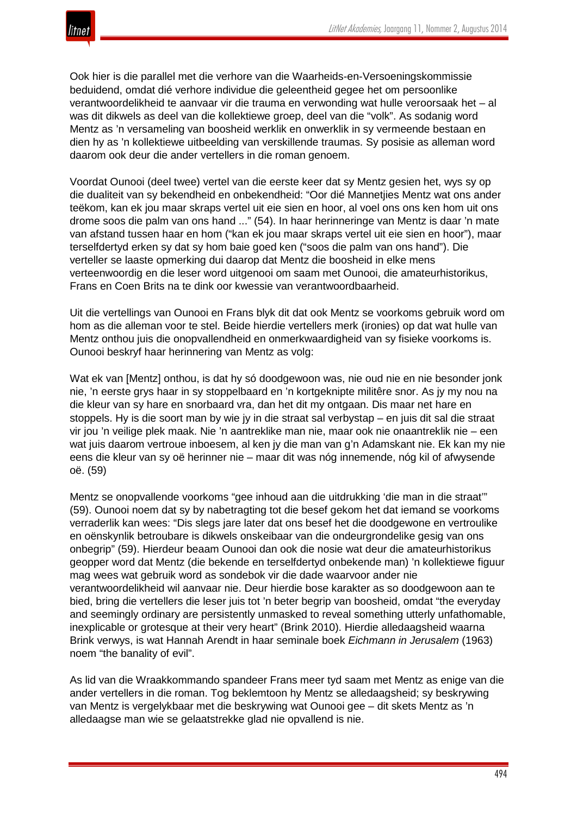

Ook hier is die parallel met die verhore van die Waarheids-en-Versoeningskommissie beduidend, omdat dié verhore individue die geleentheid gegee het om persoonlike verantwoordelikheid te aanvaar vir die trauma en verwonding wat hulle veroorsaak het – al was dit dikwels as deel van die kollektiewe groep, deel van die "volk". As sodanig word Mentz as 'n versameling van boosheid werklik en onwerklik in sy vermeende bestaan en dien hy as 'n kollektiewe uitbeelding van verskillende traumas. Sy posisie as alleman word daarom ook deur die ander vertellers in die roman genoem.

Voordat Ounooi (deel twee) vertel van die eerste keer dat sy Mentz gesien het, wys sy op die dualiteit van sy bekendheid en onbekendheid: "Oor dié Mannetjies Mentz wat ons ander teëkom, kan ek jou maar skraps vertel uit eie sien en hoor, al voel ons ons ken hom uit ons drome soos die palm van ons hand ..." (54). In haar herinneringe van Mentz is daar 'n mate van afstand tussen haar en hom ("kan ek jou maar skraps vertel uit eie sien en hoor"), maar terselfdertyd erken sy dat sy hom baie goed ken ("soos die palm van ons hand"). Die verteller se laaste opmerking dui daarop dat Mentz die boosheid in elke mens verteenwoordig en die leser word uitgenooi om saam met Ounooi, die amateurhistorikus, Frans en Coen Brits na te dink oor kwessie van verantwoordbaarheid.

Uit die vertellings van Ounooi en Frans blyk dit dat ook Mentz se voorkoms gebruik word om hom as die alleman voor te stel. Beide hierdie vertellers merk (ironies) op dat wat hulle van Mentz onthou juis die onopvallendheid en onmerkwaardigheid van sy fisieke voorkoms is. Ounooi beskryf haar herinnering van Mentz as volg:

Wat ek van [Mentz] onthou, is dat hy só doodgewoon was, nie oud nie en nie besonder jonk nie, 'n eerste grys haar in sy stoppelbaard en 'n kortgeknipte militêre snor. As jy my nou na die kleur van sy hare en snorbaard vra, dan het dit my ontgaan. Dis maar net hare en stoppels. Hy is die soort man by wie jy in die straat sal verbystap – en juis dit sal die straat vir jou 'n veilige plek maak. Nie 'n aantreklike man nie, maar ook nie onaantreklik nie – een wat juis daarom vertroue inboesem, al ken jy die man van g'n Adamskant nie. Ek kan my nie eens die kleur van sy oë herinner nie – maar dit was nóg innemende, nóg kil of afwysende oë. (59)

Mentz se onopvallende voorkoms "gee inhoud aan die uitdrukking 'die man in die straat'" (59). Ounooi noem dat sy by nabetragting tot die besef gekom het dat iemand se voorkoms verraderlik kan wees: "Dis slegs jare later dat ons besef het die doodgewone en vertroulike en oënskynlik betroubare is dikwels onskeibaar van die ondeurgrondelike gesig van ons onbegrip" (59). Hierdeur beaam Ounooi dan ook die nosie wat deur die amateurhistorikus geopper word dat Mentz (die bekende en terselfdertyd onbekende man) 'n kollektiewe figuur mag wees wat gebruik word as sondebok vir die dade waarvoor ander nie verantwoordelikheid wil aanvaar nie. Deur hierdie bose karakter as so doodgewoon aan te bied, bring die vertellers die leser juis tot 'n beter begrip van boosheid, omdat "the everyday and seemingly ordinary are persistently unmasked to reveal something utterly unfathomable, inexplicable or grotesque at their very heart" (Brink 2010). Hierdie alledaagsheid waarna Brink verwys, is wat Hannah Arendt in haar seminale boek *Eichmann in Jerusalem* (1963) noem "the banality of evil".

As lid van die Wraakkommando spandeer Frans meer tyd saam met Mentz as enige van die ander vertellers in die roman. Tog beklemtoon hy Mentz se alledaagsheid; sy beskrywing van Mentz is vergelykbaar met die beskrywing wat Ounooi gee – dit skets Mentz as 'n alledaagse man wie se gelaatstrekke glad nie opvallend is nie.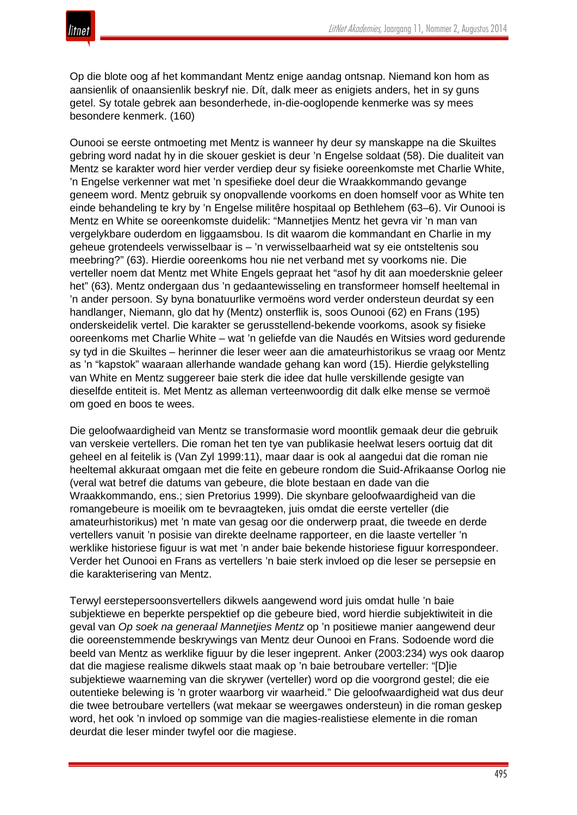

Op die blote oog af het kommandant Mentz enige aandag ontsnap. Niemand kon hom as aansienlik of onaansienlik beskryf nie. Dít, dalk meer as enigiets anders, het in sy guns getel. Sy totale gebrek aan besonderhede, in-die-ooglopende kenmerke was sy mees besondere kenmerk. (160)

Ounooi se eerste ontmoeting met Mentz is wanneer hy deur sy manskappe na die Skuiltes gebring word nadat hy in die skouer geskiet is deur 'n Engelse soldaat (58). Die dualiteit van Mentz se karakter word hier verder verdiep deur sy fisieke ooreenkomste met Charlie White, 'n Engelse verkenner wat met 'n spesifieke doel deur die Wraakkommando gevange geneem word. Mentz gebruik sy onopvallende voorkoms en doen homself voor as White ten einde behandeling te kry by 'n Engelse militêre hospitaal op Bethlehem (63–6). Vir Ounooi is Mentz en White se ooreenkomste duidelik: "Mannetjies Mentz het gevra vir 'n man van vergelykbare ouderdom en liggaamsbou. Is dit waarom die kommandant en Charlie in my geheue grotendeels verwisselbaar is – 'n verwisselbaarheid wat sy eie ontsteltenis sou meebring?" (63). Hierdie ooreenkoms hou nie net verband met sy voorkoms nie. Die verteller noem dat Mentz met White Engels gepraat het "asof hy dit aan moedersknie geleer het" (63). Mentz ondergaan dus 'n gedaantewisseling en transformeer homself heeltemal in 'n ander persoon. Sy byna bonatuurlike vermoëns word verder ondersteun deurdat sy een handlanger, Niemann, glo dat hy (Mentz) onsterflik is, soos Ounooi (62) en Frans (195) onderskeidelik vertel. Die karakter se gerusstellend-bekende voorkoms, asook sy fisieke ooreenkoms met Charlie White – wat 'n geliefde van die Naudés en Witsies word gedurende sy tyd in die Skuiltes – herinner die leser weer aan die amateurhistorikus se vraag oor Mentz as 'n "kapstok" waaraan allerhande wandade gehang kan word (15). Hierdie gelykstelling van White en Mentz suggereer baie sterk die idee dat hulle verskillende gesigte van dieselfde entiteit is. Met Mentz as alleman verteenwoordig dit dalk elke mense se vermoë om goed en boos te wees.

Die geloofwaardigheid van Mentz se transformasie word moontlik gemaak deur die gebruik van verskeie vertellers. Die roman het ten tye van publikasie heelwat lesers oortuig dat dit geheel en al feitelik is (Van Zyl 1999:11), maar daar is ook al aangedui dat die roman nie heeltemal akkuraat omgaan met die feite en gebeure rondom die Suid-Afrikaanse Oorlog nie (veral wat betref die datums van gebeure, die blote bestaan en dade van die Wraakkommando, ens.; sien Pretorius 1999). Die skynbare geloofwaardigheid van die romangebeure is moeilik om te bevraagteken, juis omdat die eerste verteller (die amateurhistorikus) met 'n mate van gesag oor die onderwerp praat, die tweede en derde vertellers vanuit 'n posisie van direkte deelname rapporteer, en die laaste verteller 'n werklike historiese figuur is wat met 'n ander baie bekende historiese figuur korrespondeer. Verder het Ounooi en Frans as vertellers 'n baie sterk invloed op die leser se persepsie en die karakterisering van Mentz.

Terwyl eerstepersoonsvertellers dikwels aangewend word juis omdat hulle 'n baie subjektiewe en beperkte perspektief op die gebeure bied, word hierdie subjektiwiteit in die geval van *Op soek na generaal Mannetjies Mentz* op 'n positiewe manier aangewend deur die ooreenstemmende beskrywings van Mentz deur Ounooi en Frans. Sodoende word die beeld van Mentz as werklike figuur by die leser ingeprent. Anker (2003:234) wys ook daarop dat die magiese realisme dikwels staat maak op 'n baie betroubare verteller: "[D]ie subjektiewe waarneming van die skrywer (verteller) word op die voorgrond gestel; die eie outentieke belewing is 'n groter waarborg vir waarheid." Die geloofwaardigheid wat dus deur die twee betroubare vertellers (wat mekaar se weergawes ondersteun) in die roman geskep word, het ook 'n invloed op sommige van die magies-realistiese elemente in die roman deurdat die leser minder twyfel oor die magiese.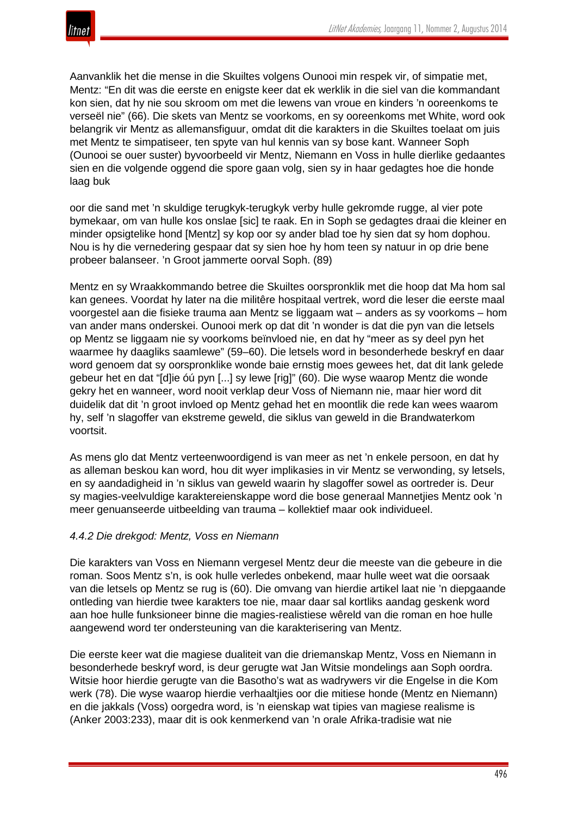

Aanvanklik het die mense in die Skuiltes volgens Ounooi min respek vir, of simpatie met, Mentz: "En dit was die eerste en enigste keer dat ek werklik in die siel van die kommandant kon sien, dat hy nie sou skroom om met die lewens van vroue en kinders 'n ooreenkoms te verseël nie" (66). Die skets van Mentz se voorkoms, en sy ooreenkoms met White, word ook belangrik vir Mentz as allemansfiguur, omdat dit die karakters in die Skuiltes toelaat om juis met Mentz te simpatiseer, ten spyte van hul kennis van sy bose kant. Wanneer Soph (Ounooi se ouer suster) byvoorbeeld vir Mentz, Niemann en Voss in hulle dierlike gedaantes sien en die volgende oggend die spore gaan volg, sien sy in haar gedagtes hoe die honde laag buk

oor die sand met 'n skuldige terugkyk-terugkyk verby hulle gekromde rugge, al vier pote bymekaar, om van hulle kos onslae [sic] te raak. En in Soph se gedagtes draai die kleiner en minder opsigtelike hond [Mentz] sy kop oor sy ander blad toe hy sien dat sy hom dophou. Nou is hy die vernedering gespaar dat sy sien hoe hy hom teen sy natuur in op drie bene probeer balanseer. 'n Groot jammerte oorval Soph. (89)

Mentz en sy Wraakkommando betree die Skuiltes oorspronklik met die hoop dat Ma hom sal kan genees. Voordat hy later na die militêre hospitaal vertrek, word die leser die eerste maal voorgestel aan die fisieke trauma aan Mentz se liggaam wat – anders as sy voorkoms – hom van ander mans onderskei. Ounooi merk op dat dit 'n wonder is dat die pyn van die letsels op Mentz se liggaam nie sy voorkoms beïnvloed nie, en dat hy "meer as sy deel pyn het waarmee hy daagliks saamlewe" (59–60). Die letsels word in besonderhede beskryf en daar word genoem dat sy oorspronklike wonde baie ernstig moes gewees het, dat dit lank gelede gebeur het en dat "[d]ie óú pyn [...] sy lewe [rig]" (60). Die wyse waarop Mentz die wonde gekry het en wanneer, word nooit verklap deur Voss of Niemann nie, maar hier word dit duidelik dat dit 'n groot invloed op Mentz gehad het en moontlik die rede kan wees waarom hy, self 'n slagoffer van ekstreme geweld, die siklus van geweld in die Brandwaterkom voortsit.

As mens glo dat Mentz verteenwoordigend is van meer as net 'n enkele persoon, en dat hy as alleman beskou kan word, hou dit wyer implikasies in vir Mentz se verwonding, sy letsels, en sy aandadigheid in 'n siklus van geweld waarin hy slagoffer sowel as oortreder is. Deur sy magies-veelvuldige karaktereienskappe word die bose generaal Mannetjies Mentz ook 'n meer genuanseerde uitbeelding van trauma – kollektief maar ook individueel.

## *4.4.2 Die drekgod: Mentz, Voss en Niemann*

Die karakters van Voss en Niemann vergesel Mentz deur die meeste van die gebeure in die roman. Soos Mentz s'n, is ook hulle verledes onbekend, maar hulle weet wat die oorsaak van die letsels op Mentz se rug is (60). Die omvang van hierdie artikel laat nie 'n diepgaande ontleding van hierdie twee karakters toe nie, maar daar sal kortliks aandag geskenk word aan hoe hulle funksioneer binne die magies-realistiese wêreld van die roman en hoe hulle aangewend word ter ondersteuning van die karakterisering van Mentz.

Die eerste keer wat die magiese dualiteit van die driemanskap Mentz, Voss en Niemann in besonderhede beskryf word, is deur gerugte wat Jan Witsie mondelings aan Soph oordra. Witsie hoor hierdie gerugte van die Basotho's wat as wadrywers vir die Engelse in die Kom werk (78). Die wyse waarop hierdie verhaaltjies oor die mitiese honde (Mentz en Niemann) en die jakkals (Voss) oorgedra word, is 'n eienskap wat tipies van magiese realisme is (Anker 2003:233), maar dit is ook kenmerkend van 'n orale Afrika-tradisie wat nie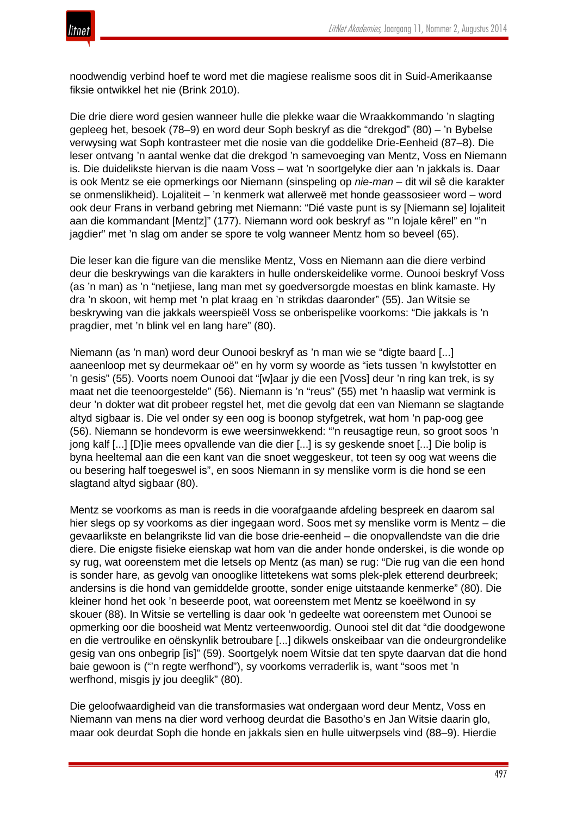noodwendig verbind hoef te word met die magiese realisme soos dit in Suid-Amerikaanse fiksie ontwikkel het nie (Brink 2010).

Die drie diere word gesien wanneer hulle die plekke waar die Wraakkommando 'n slagting gepleeg het, besoek (78–9) en word deur Soph beskryf as die "drekgod" (80) – 'n Bybelse verwysing wat Soph kontrasteer met die nosie van die goddelike Drie-Eenheid (87–8). Die leser ontvang 'n aantal wenke dat die drekgod 'n samevoeging van Mentz, Voss en Niemann is. Die duidelikste hiervan is die naam Voss – wat 'n soortgelyke dier aan 'n jakkals is. Daar is ook Mentz se eie opmerkings oor Niemann (sinspeling op *nie-man* – dit wil sê die karakter se onmenslikheid). Lojaliteit – 'n kenmerk wat allerweë met honde geassosieer word – word ook deur Frans in verband gebring met Niemann: "Dié vaste punt is sy [Niemann se] lojaliteit aan die kommandant [Mentz]" (177). Niemann word ook beskryf as "'n lojale kêrel" en "'n jagdier" met 'n slag om ander se spore te volg wanneer Mentz hom so beveel (65).

Die leser kan die figure van die menslike Mentz, Voss en Niemann aan die diere verbind deur die beskrywings van die karakters in hulle onderskeidelike vorme. Ounooi beskryf Voss (as 'n man) as 'n "netjiese, lang man met sy goedversorgde moestas en blink kamaste. Hy dra 'n skoon, wit hemp met 'n plat kraag en 'n strikdas daaronder" (55). Jan Witsie se beskrywing van die jakkals weerspieël Voss se onberispelike voorkoms: "Die jakkals is 'n pragdier, met 'n blink vel en lang hare" (80).

Niemann (as 'n man) word deur Ounooi beskryf as 'n man wie se "digte baard [...] aaneenloop met sy deurmekaar oë" en hy vorm sy woorde as "iets tussen 'n kwylstotter en 'n gesis" (55). Voorts noem Ounooi dat "[w]aar jy die een [Voss] deur 'n ring kan trek, is sy maat net die teenoorgestelde" (56). Niemann is 'n "reus" (55) met 'n haaslip wat vermink is deur 'n dokter wat dit probeer regstel het, met die gevolg dat een van Niemann se slagtande altyd sigbaar is. Die vel onder sy een oog is boonop styfgetrek, wat hom 'n pap-oog gee (56). Niemann se hondevorm is ewe weersinwekkend: "'n reusagtige reun, so groot soos 'n jong kalf [...] [D]ie mees opvallende van die dier [...] is sy geskende snoet [...] Die bolip is byna heeltemal aan die een kant van die snoet weggeskeur, tot teen sy oog wat weens die ou besering half toegeswel is", en soos Niemann in sy menslike vorm is die hond se een slagtand altyd sigbaar (80).

Mentz se voorkoms as man is reeds in die voorafgaande afdeling bespreek en daarom sal hier slegs op sy voorkoms as dier ingegaan word. Soos met sy menslike vorm is Mentz – die gevaarlikste en belangrikste lid van die bose drie-eenheid – die onopvallendste van die drie diere. Die enigste fisieke eienskap wat hom van die ander honde onderskei, is die wonde op sy rug, wat ooreenstem met die letsels op Mentz (as man) se rug: "Die rug van die een hond is sonder hare, as gevolg van onooglike littetekens wat soms plek-plek etterend deurbreek; andersins is die hond van gemiddelde grootte, sonder enige uitstaande kenmerke" (80). Die kleiner hond het ook 'n beseerde poot, wat ooreenstem met Mentz se koeëlwond in sy skouer (88). In Witsie se vertelling is daar ook 'n gedeelte wat ooreenstem met Ounooi se opmerking oor die boosheid wat Mentz verteenwoordig. Ounooi stel dit dat "die doodgewone en die vertroulike en oënskynlik betroubare [...] dikwels onskeibaar van die ondeurgrondelike gesig van ons onbegrip [is]" (59). Soortgelyk noem Witsie dat ten spyte daarvan dat die hond baie gewoon is ("'n regte werfhond"), sy voorkoms verraderlik is, want "soos met 'n werfhond, misgis jy jou deeglik" (80).

Die geloofwaardigheid van die transformasies wat ondergaan word deur Mentz, Voss en Niemann van mens na dier word verhoog deurdat die Basotho's en Jan Witsie daarin glo, maar ook deurdat Soph die honde en jakkals sien en hulle uitwerpsels vind (88–9). Hierdie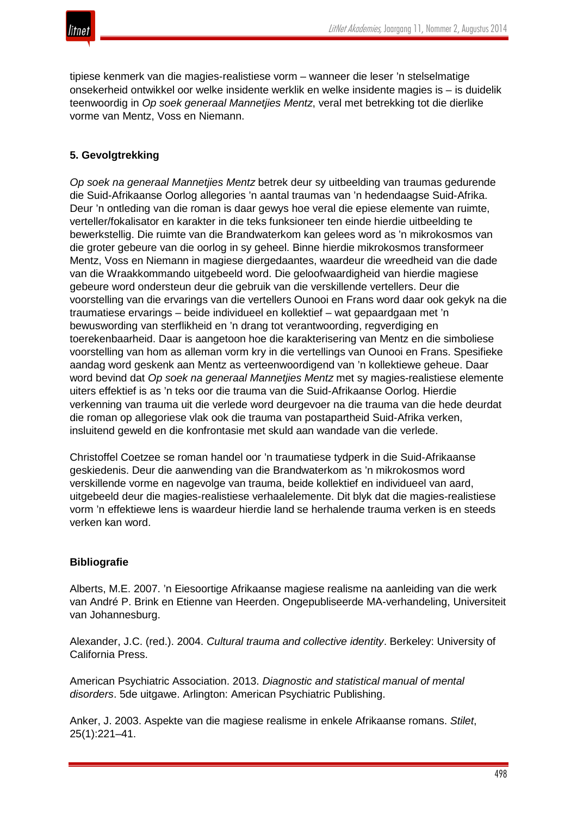

tipiese kenmerk van die magies-realistiese vorm – wanneer die leser 'n stelselmatige onsekerheid ontwikkel oor welke insidente werklik en welke insidente magies is – is duidelik teenwoordig in *Op soek generaal Mannetjies Mentz*, veral met betrekking tot die dierlike vorme van Mentz, Voss en Niemann.

## **5. Gevolgtrekking**

*Op soek na generaal Mannetjies Mentz* betrek deur sy uitbeelding van traumas gedurende die Suid-Afrikaanse Oorlog allegories 'n aantal traumas van 'n hedendaagse Suid-Afrika. Deur 'n ontleding van die roman is daar gewys hoe veral die epiese elemente van ruimte, verteller/fokalisator en karakter in die teks funksioneer ten einde hierdie uitbeelding te bewerkstellig. Die ruimte van die Brandwaterkom kan gelees word as 'n mikrokosmos van die groter gebeure van die oorlog in sy geheel. Binne hierdie mikrokosmos transformeer Mentz, Voss en Niemann in magiese diergedaantes, waardeur die wreedheid van die dade van die Wraakkommando uitgebeeld word. Die geloofwaardigheid van hierdie magiese gebeure word ondersteun deur die gebruik van die verskillende vertellers. Deur die voorstelling van die ervarings van die vertellers Ounooi en Frans word daar ook gekyk na die traumatiese ervarings – beide individueel en kollektief – wat gepaardgaan met 'n bewuswording van sterflikheid en 'n drang tot verantwoording, regverdiging en toerekenbaarheid. Daar is aangetoon hoe die karakterisering van Mentz en die simboliese voorstelling van hom as alleman vorm kry in die vertellings van Ounooi en Frans. Spesifieke aandag word geskenk aan Mentz as verteenwoordigend van 'n kollektiewe geheue. Daar word bevind dat *Op soek na generaal Mannetjies Mentz* met sy magies-realistiese elemente uiters effektief is as 'n teks oor die trauma van die Suid-Afrikaanse Oorlog. Hierdie verkenning van trauma uit die verlede word deurgevoer na die trauma van die hede deurdat die roman op allegoriese vlak ook die trauma van postapartheid Suid-Afrika verken, insluitend geweld en die konfrontasie met skuld aan wandade van die verlede.

Christoffel Coetzee se roman handel oor 'n traumatiese tydperk in die Suid-Afrikaanse geskiedenis. Deur die aanwending van die Brandwaterkom as 'n mikrokosmos word verskillende vorme en nagevolge van trauma, beide kollektief en individueel van aard, uitgebeeld deur die magies-realistiese verhaalelemente. Dit blyk dat die magies-realistiese vorm 'n effektiewe lens is waardeur hierdie land se herhalende trauma verken is en steeds verken kan word.

#### **Bibliografie**

Alberts, M.E. 2007. 'n Eiesoortige Afrikaanse magiese realisme na aanleiding van die werk van André P. Brink en Etienne van Heerden. Ongepubliseerde MA-verhandeling, Universiteit van Johannesburg.

Alexander, J.C. (red.). 2004. *Cultural trauma and collective identity*. Berkeley: University of California Press.

American Psychiatric Association. 2013. *Diagnostic and statistical manual of mental disorders*. 5de uitgawe. Arlington: American Psychiatric Publishing.

Anker, J. 2003. Aspekte van die magiese realisme in enkele Afrikaanse romans. *Stilet*, 25(1):221–41.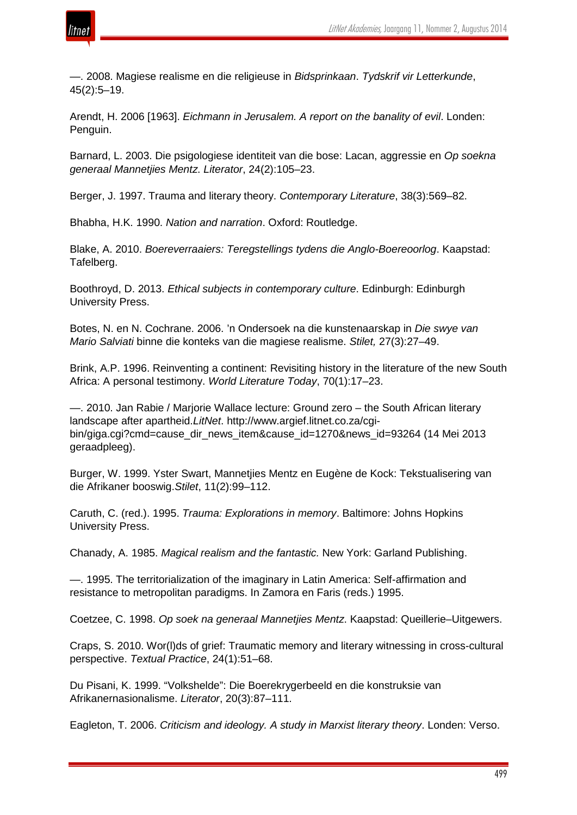

—. 2008. Magiese realisme en die religieuse in *Bidsprinkaan*. *Tydskrif vir Letterkunde*, 45(2):5–19.

Arendt, H. 2006 [1963]. *Eichmann in Jerusalem. A report on the banality of evil*. Londen: Penguin.

Barnard, L. 2003. Die psigologiese identiteit van die bose: Lacan, aggressie en *Op soekna generaal Mannetjies Mentz*. *Literator*, 24(2):105–23.

Berger, J. 1997. Trauma and literary theory. *Contemporary Literature*, 38(3):569–82.

Bhabha, H.K. 1990. *Nation and narration*. Oxford: Routledge.

Blake, A. 2010. *Boereverraaiers: Teregstellings tydens die Anglo-Boereoorlog*. Kaapstad: Tafelberg.

Boothroyd, D. 2013. *Ethical subjects in contemporary culture*. Edinburgh: Edinburgh University Press.

Botes, N. en N. Cochrane. 2006. 'n Ondersoek na die kunstenaarskap in *Die swye van Mario Salviati* binne die konteks van die magiese realisme. *Stilet,* 27(3):27–49.

Brink, A.P. 1996. Reinventing a continent: Revisiting history in the literature of the new South Africa: A personal testimony. *World Literature Today*, 70(1):17–23.

—. 2010. Jan Rabie / Marjorie Wallace lecture: Ground zero – the South African literary landscape after apartheid.*LitNet*. http://www.argief.litnet.co.za/cgibin/giga.cgi?cmd=cause\_dir\_news\_item&cause\_id=1270&news\_id=93264 (14 Mei 2013 geraadpleeg).

Burger, W. 1999. Yster Swart, Mannetjies Mentz en Eugène de Kock: Tekstualisering van die Afrikaner booswig.*Stilet*, 11(2):99–112.

Caruth, C. (red.). 1995. *Trauma: Explorations in memory*. Baltimore: Johns Hopkins University Press.

Chanady, A. 1985. *Magical realism and the fantastic.* New York: Garland Publishing.

—. 1995. The territorialization of the imaginary in Latin America: Self-affirmation and resistance to metropolitan paradigms. In Zamora en Faris (reds.) 1995.

Coetzee, C. 1998. *Op soek na generaal Mannetjies Mentz*. Kaapstad: Queillerie–Uitgewers.

Craps, S. 2010. Wor(l)ds of grief: Traumatic memory and literary witnessing in cross-cultural perspective. *Textual Practice*, 24(1):51–68.

Du Pisani, K. 1999. "Volkshelde": Die Boerekrygerbeeld en die konstruksie van Afrikanernasionalisme. *Literator*, 20(3):87–111.

Eagleton, T. 2006. *Criticism and ideology. A study in Marxist literary theory*. Londen: Verso.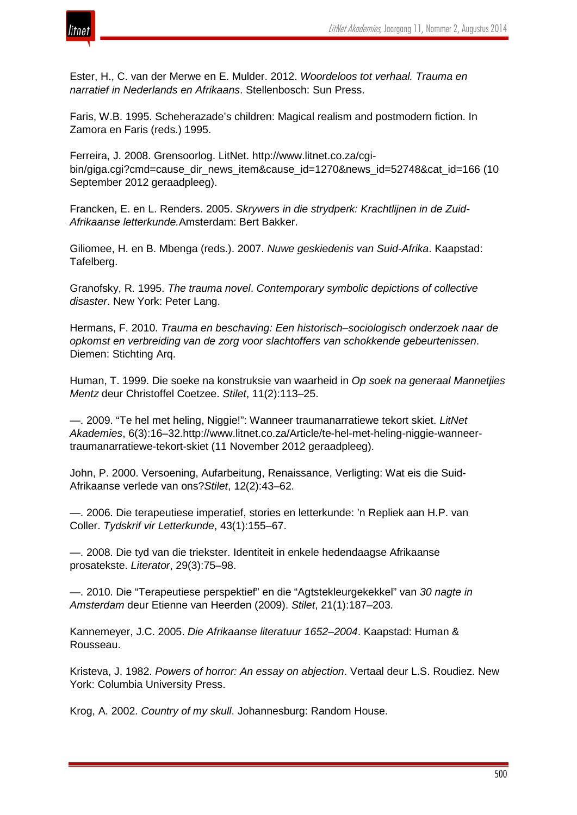

Ester, H., C. van der Merwe en E. Mulder. 2012. *Woordeloos tot verhaal. Trauma en narratief in Nederlands en Afrikaans*. Stellenbosch: Sun Press.

Faris, W.B. 1995. Scheherazade's children: Magical realism and postmodern fiction. In Zamora en Faris (reds.) 1995.

Ferreira, J. 2008. Grensoorlog. LitNet. http://www.litnet.co.za/cgibin/giga.cgi?cmd=cause\_dir\_news\_item&cause\_id=1270&news\_id=52748&cat\_id=166 (10 September 2012 geraadpleeg).

Francken, E. en L. Renders. 2005. *Skrywers in die strydperk: Krachtlijnen in de Zuid-Afrikaanse letterkunde.*Amsterdam: Bert Bakker.

Giliomee, H. en B. Mbenga (reds.). 2007. *Nuwe geskiedenis van Suid-Afrika*. Kaapstad: Tafelberg.

Granofsky, R. 1995. *The trauma novel*. *Contemporary symbolic depictions of collective disaster*. New York: Peter Lang.

Hermans, F. 2010. *Trauma en beschaving: Een historisch*–*sociologisch onderzoek naar de opkomst en verbreiding van de zorg voor slachtoffers van schokkende gebeurtenissen*. Diemen: Stichting Arq.

Human, T. 1999. Die soeke na konstruksie van waarheid in *Op soek na generaal Mannetjies Mentz* deur Christoffel Coetzee. *Stilet*, 11(2):113–25.

—. 2009. "Te hel met heling, Niggie!": Wanneer traumanarratiewe tekort skiet. *LitNet Akademies*, 6(3):16–32.http://www.litnet.co.za/Article/te-hel-met-heling-niggie-wanneertraumanarratiewe-tekort-skiet (11 November 2012 geraadpleeg).

John, P. 2000. Versoening, Aufarbeitung, Renaissance, Verligting: Wat eis die Suid-Afrikaanse verlede van ons?*Stilet*, 12(2):43–62.

—. 2006. Die terapeutiese imperatief, stories en letterkunde: 'n Repliek aan H.P. van Coller. *Tydskrif vir Letterkunde*, 43(1):155–67.

—. 2008. Die tyd van die triekster. Identiteit in enkele hedendaagse Afrikaanse prosatekste. *Literator*, 29(3):75–98.

—. 2010. Die "Terapeutiese perspektief" en die "Agtstekleurgekekkel" van *30 nagte in Amsterdam* deur Etienne van Heerden (2009). *Stilet*, 21(1):187–203.

Kannemeyer, J.C. 2005. *Die Afrikaanse literatuur 1652*–*2004*. Kaapstad: Human & Rousseau.

Kristeva, J. 1982. *Powers of horror: An essay on abjection*. Vertaal deur L.S. Roudiez. New York: Columbia University Press.

Krog, A. 2002. *Country of my skull*. Johannesburg: Random House.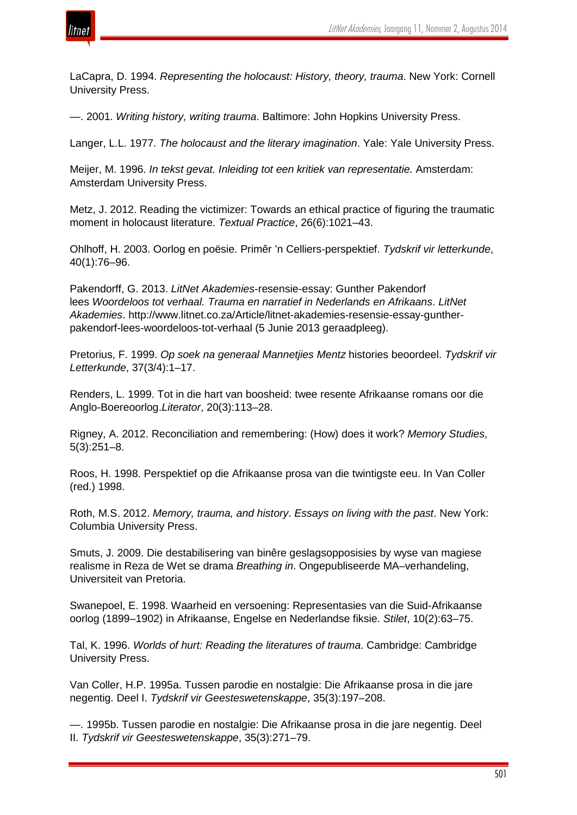

LaCapra, D. 1994. *Representing the holocaust: History, theory, trauma*. New York: Cornell University Press.

—. 2001. *Writing history, writing trauma*. Baltimore: John Hopkins University Press.

Langer, L.L. 1977. *The holocaust and the literary imagination*. Yale: Yale University Press.

Meijer, M. 1996. *In tekst gevat. Inleiding tot een kritiek van representatie.* Amsterdam: Amsterdam University Press.

Metz, J. 2012. Reading the victimizer: Towards an ethical practice of figuring the traumatic moment in holocaust literature. *Textual Practice*, 26(6):1021–43.

Ohlhoff, H. 2003. Oorlog en poësie. Primêr 'n Celliers-perspektief. *Tydskrif vir letterkunde*, 40(1):76–96.

Pakendorff, G. 2013. *LitNet Akademies*-resensie-essay: Gunther Pakendorf lees *Woordeloos tot verhaal. Trauma en narratief in Nederlands en Afrikaans*. *LitNet Akademies*. http://www.litnet.co.za/Article/litnet-akademies-resensie-essay-guntherpakendorf-lees-woordeloos-tot-verhaal (5 Junie 2013 geraadpleeg).

Pretorius, F. 1999. *Op soek na generaal Mannetjies Mentz* histories beoordeel. *Tydskrif vir Letterkunde*, 37(3/4):1–17.

Renders, L. 1999. Tot in die hart van boosheid: twee resente Afrikaanse romans oor die Anglo-Boereoorlog.*Literator*, 20(3):113–28.

Rigney, A. 2012. Reconciliation and remembering: (How) does it work? *Memory Studies*, 5(3):251–8.

Roos, H. 1998. Perspektief op die Afrikaanse prosa van die twintigste eeu. In Van Coller (red.) 1998.

Roth, M.S. 2012. *Memory, trauma, and history*. *Essays on living with the past*. New York: Columbia University Press.

Smuts, J. 2009. Die destabilisering van binêre geslagsopposisies by wyse van magiese realisme in Reza de Wet se drama *Breathing in*. Ongepubliseerde MA–verhandeling, Universiteit van Pretoria.

Swanepoel, E. 1998. Waarheid en versoening: Representasies van die Suid-Afrikaanse oorlog (1899–1902) in Afrikaanse, Engelse en Nederlandse fiksie. *Stilet*, 10(2):63–75.

Tal, K. 1996. *Worlds of hurt: Reading the literatures of trauma*. Cambridge: Cambridge University Press.

Van Coller, H.P. 1995a. Tussen parodie en nostalgie: Die Afrikaanse prosa in die jare negentig. Deel I. *Tydskrif vir Geesteswetenskappe*, 35(3):197–208.

—. 1995b. Tussen parodie en nostalgie: Die Afrikaanse prosa in die jare negentig. Deel II. *Tydskrif vir Geesteswetenskappe*, 35(3):271–79.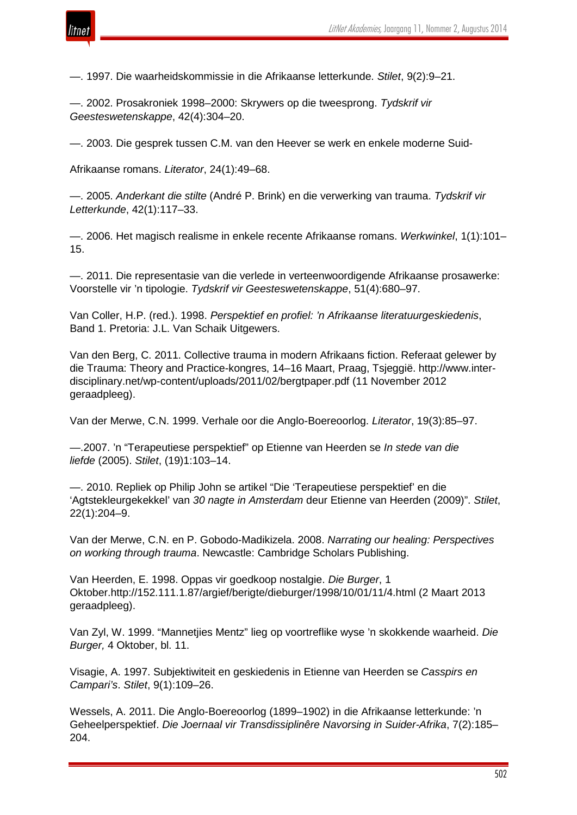

—. 1997. Die waarheidskommissie in die Afrikaanse letterkunde. *Stilet*, 9(2):9–21.

—. 2002. Prosakroniek 1998–2000: Skrywers op die tweesprong. *Tydskrif vir Geesteswetenskappe*, 42(4):304–20.

—. 2003. Die gesprek tussen C.M. van den Heever se werk en enkele moderne Suid-

Afrikaanse romans. *Literator*, 24(1):49–68.

—. 2005. *Anderkant die stilte* (André P. Brink) en die verwerking van trauma. *Tydskrif vir Letterkunde*, 42(1):117–33.

—. 2006. Het magisch realisme in enkele recente Afrikaanse romans. *Werkwinkel*, 1(1):101– 15.

—. 2011. Die representasie van die verlede in verteenwoordigende Afrikaanse prosawerke: Voorstelle vir 'n tipologie. *Tydskrif vir Geesteswetenskappe*, 51(4):680–97.

Van Coller, H.P. (red.). 1998. *Perspektief en profiel: 'n Afrikaanse literatuurgeskiedenis*, Band 1. Pretoria: J.L. Van Schaik Uitgewers.

Van den Berg, C. 2011. Collective trauma in modern Afrikaans fiction. Referaat gelewer by die Trauma: Theory and Practice-kongres, 14–16 Maart, Praag, Tsjeggië. http://www.interdisciplinary.net/wp-content/uploads/2011/02/bergtpaper.pdf (11 November 2012 geraadpleeg).

Van der Merwe, C.N. 1999. Verhale oor die Anglo-Boereoorlog. *Literator*, 19(3):85–97.

—.2007. 'n "Terapeutiese perspektief" op Etienne van Heerden se *In stede van die liefde* (2005). *Stilet*, (19)1:103–14.

—. 2010. Repliek op Philip John se artikel "Die 'Terapeutiese perspektief' en die 'Agtstekleurgekekkel' van *30 nagte in Amsterdam* deur Etienne van Heerden (2009)". *Stilet*, 22(1):204–9.

Van der Merwe, C.N. en P. Gobodo-Madikizela. 2008. *Narrating our healing: Perspectives on working through trauma*. Newcastle: Cambridge Scholars Publishing.

Van Heerden, E. 1998. Oppas vir goedkoop nostalgie. *Die Burger*, 1 Oktober.http://152.111.1.87/argief/berigte/dieburger/1998/10/01/11/4.html (2 Maart 2013 geraadpleeg).

Van Zyl, W. 1999. "Mannetjies Mentz" lieg op voortreflike wyse 'n skokkende waarheid. *Die Burger,* 4 Oktober, bl. 11.

Visagie, A. 1997. Subjektiwiteit en geskiedenis in Etienne van Heerden se *Casspirs en Campari's*. *Stilet*, 9(1):109–26.

Wessels, A. 2011. Die Anglo-Boereoorlog (1899–1902) in die Afrikaanse letterkunde: 'n Geheelperspektief. *Die Joernaal vir Transdissiplinêre Navorsing in Suider-Afrika*, 7(2):185– 204.